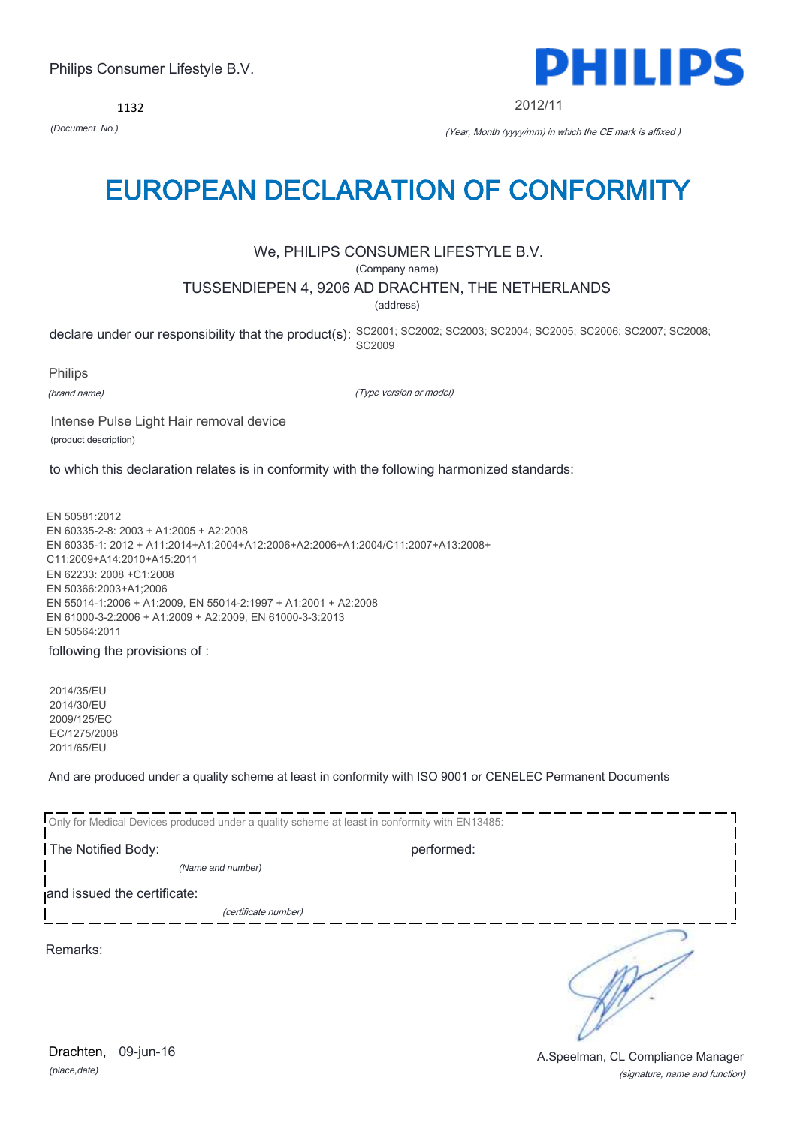1132

### EUROPEAN DECLARATION OF CONFORMITY

#### We, PHILIPS CONSUMER LIFESTYLE B.V.

(Company name)

#### TUSSENDIEPEN 4, 9206 AD DRACHTEN, THE NETHERLANDS

(address)

declare under our responsibility that the product(s): SC2001; SC2002; SC2003; SC2004; SC2005; SC2007; SC2008; SC2008; SC2009

Philips

(brand name)

(Type version or model)

Intense Pulse Light Hair removal device (product description)

to which this declaration relates is in conformity with the following harmonized standards:

EN 50581:2012 EN 60335-2-8: 2003 + A1:2005 + A2:2008 EN 60335-1: 2012 + A11:2014+A1:2004+A12:2006+A2:2006+A1:2004/C11:2007+A13:2008+ C11:2009+A14:2010+A15:2011 EN 62233: 2008 +C1:2008 EN 50366:2003+A1;2006 EN 55014-1:2006 + A1:2009, EN 55014-2:1997 + A1:2001 + A2:2008 EN 61000-3-2:2006 + A1:2009 + A2:2009, EN 61000-3-3:2013 EN 50564:2011

following the provisions of :

2014/35/EU 2014/30/EU 2009/125/EC EC/1275/2008 2011/65/EU

And are produced under a quality scheme at least in conformity with ISO 9001 or CENELEC Permanent Documents

| Only for Medical Devices produced under a quality scheme at least in conformity with EN13485: |            |  |
|-----------------------------------------------------------------------------------------------|------------|--|
| The Notified Body:                                                                            | performed: |  |
| (Name and number)                                                                             |            |  |
| and issued the certificate:                                                                   |            |  |
| (certificate number)                                                                          |            |  |
| Remarks:                                                                                      |            |  |

(signature, name and function) Drachten, 09-jun-16 **Drachten**, 09-jun-16



2012/11

*(Document No.)* (Year, Month (yyyy/mm) in which the CE mark is affixed )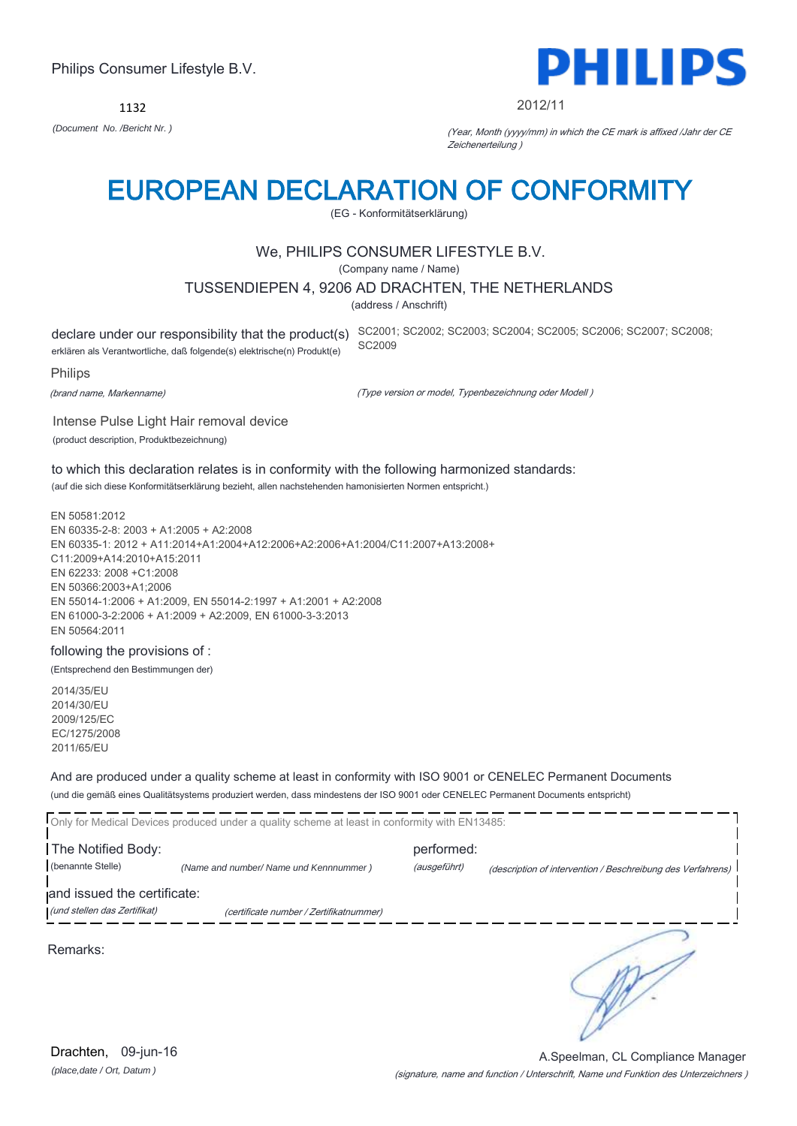1132



#### 2012/11

*(Document No. /Bericht Nr. )* (Year, Month (yyyy/mm) in which the CE mark is affixed /Jahr der CE Zeichenerteilung )

### EUROPEAN DECLARATION OF CONFORMITY

(EG - Konformitätserklärung)

#### We, PHILIPS CONSUMER LIFESTYLE B.V.

(Company name / Name)

#### TUSSENDIEPEN 4, 9206 AD DRACHTEN, THE NETHERLANDS

(address / Anschrift)

erklären als Verantwortliche, daß folgende(s) elektrische(n) Produkt(e)

declare under our responsibility that the product(s) SC2001; SC2002; SC2003; SC2004; SC2005; SC2006; SC2007; SC2008; SC2009

Philips

(brand name, Markenname)

(Type version or model, Typenbezeichnung oder Modell )

Intense Pulse Light Hair removal device (product description, Produktbezeichnung)

to which this declaration relates is in conformity with the following harmonized standards: (auf die sich diese Konformitätserklärung bezieht, allen nachstehenden hamonisierten Normen entspricht.)

EN 50581:2012 EN 60335-2-8: 2003 + A1:2005 + A2:2008 EN 60335-1: 2012 + A11:2014+A1:2004+A12:2006+A2:2006+A1:2004/C11:2007+A13:2008+ C11:2009+A14:2010+A15:2011 EN 62233: 2008 +C1:2008 EN 50366:2003+A1;2006 EN 55014-1:2006 + A1:2009, EN 55014-2:1997 + A1:2001 + A2:2008 EN 61000-3-2:2006 + A1:2009 + A2:2009, EN 61000-3-3:2013 EN 50564:2011

#### following the provisions of :

(Entsprechend den Bestimmungen der)

2014/35/EU 2014/30/EU 2009/125/EC EC/1275/2008 2011/65/EU

And are produced under a quality scheme at least in conformity with ISO 9001 or CENELEC Permanent Documents (und die gemäß eines Qualitätsystems produziert werden, dass mindestens der ISO 9001 oder CENELEC Permanent Documents entspricht)

|                              | Only for Medical Devices produced under a quality scheme at least in conformity with EN13485: |              |                                                             |
|------------------------------|-----------------------------------------------------------------------------------------------|--------------|-------------------------------------------------------------|
| The Notified Body:           |                                                                                               | performed:   |                                                             |
| (benannte Stelle)            | (Name and number/ Name und Kennnummer)                                                        | (ausgeführt) | (description of intervention / Beschreibung des Verfahrens) |
| and issued the certificate:  |                                                                                               |              |                                                             |
| (und stellen das Zertifikat) | (certificate number / Zertifikatnummer)                                                       |              |                                                             |
|                              |                                                                                               |              |                                                             |

Remarks:

(signature, name and function / Unterschrift, Name und Funktion des Unterzeichners ) A.Speelman, CL Compliance Manager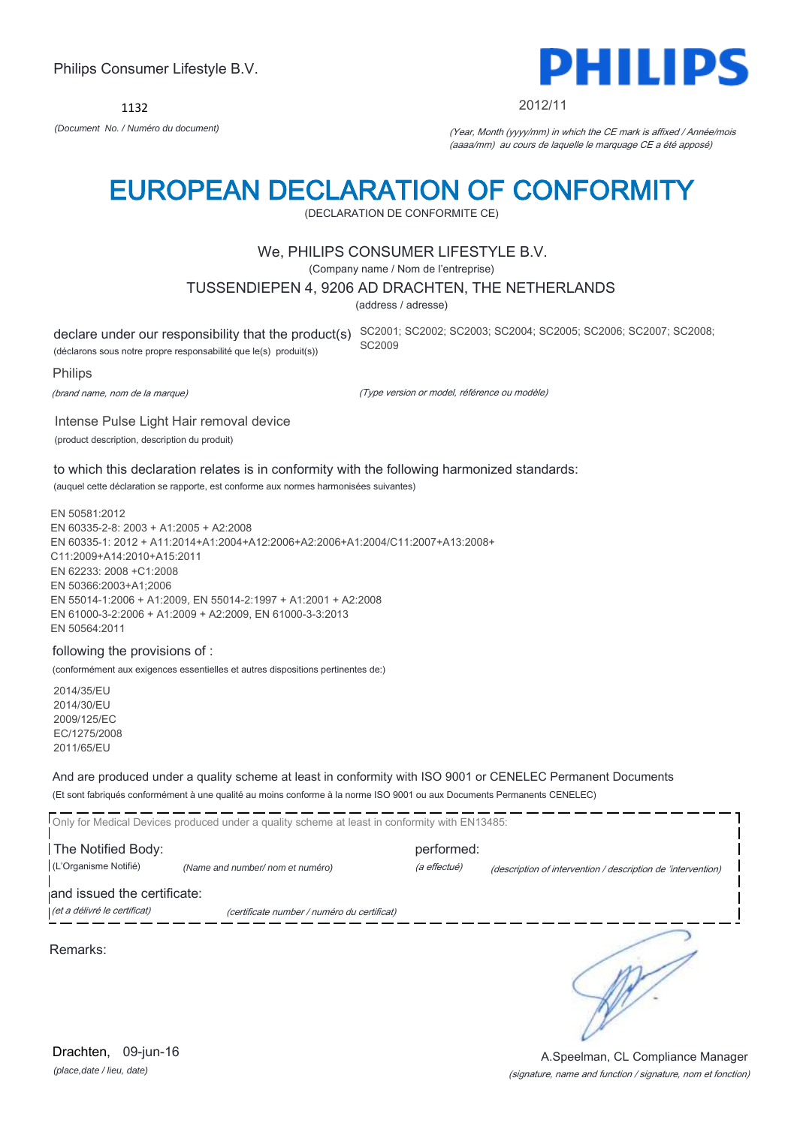1132



#### 2012/11

*(Document No. / Numéro du document)* (Year, Month (yyyy/mm) in which the CE mark is affixed / Année/mois (aaaa/mm) au cours de laquelle le marquage CE a été apposé)

### EUROPEAN DECLARATION OF CONFORMITY

(DECLARATION DE CONFORMITE CE)

#### We, PHILIPS CONSUMER LIFESTYLE B.V.

(Company name / Nom de l'entreprise)

#### TUSSENDIEPEN 4, 9206 AD DRACHTEN, THE NETHERLANDS

(address / adresse)

(déclarons sous notre propre responsabilité que le(s) produit(s))

declare under our responsibility that the product(s) SC2001; SC2002; SC2003; SC2004; SC2005; SC2006; SC2007; SC2008; SC2009

Philips

(brand name, nom de la marque)

(Type version or model, référence ou modèle)

Intense Pulse Light Hair removal device (product description, description du produit)

to which this declaration relates is in conformity with the following harmonized standards: (auquel cette déclaration se rapporte, est conforme aux normes harmonisées suivantes)

EN 50581:2012 EN 60335-2-8: 2003 + A1:2005 + A2:2008 EN 60335-1: 2012 + A11:2014+A1:2004+A12:2006+A2:2006+A1:2004/C11:2007+A13:2008+ C11:2009+A14:2010+A15:2011 EN 62233: 2008 +C1:2008 EN 50366:2003+A1;2006 EN 55014-1:2006 + A1:2009, EN 55014-2:1997 + A1:2001 + A2:2008 EN 61000-3-2:2006 + A1:2009 + A2:2009, EN 61000-3-3:2013 EN 50564:2011

#### following the provisions of :

(conformément aux exigences essentielles et autres dispositions pertinentes de:)

2014/35/EU 2014/30/EU 2009/125/EC EC/1275/2008 2011/65/EU

And are produced under a quality scheme at least in conformity with ISO 9001 or CENELEC Permanent Documents (Et sont fabriqués conformément à une qualité au moins conforme à la norme ISO 9001 ou aux Documents Permanents CENELEC)

Only for Medical Devices produced under a quality scheme at least in conformity with EN13485: **The Notified Body: performed:** performed: (L'Organisme Notifié) *(Name and number/ nom et numéro)* (a effectué) (description of intervention / description de 'intervention) and issued the certificate: (et a délivré le certificat) (certificate number / numéro du certificat) ╮ Remarks:

*(place,date / lieu, date)* Drachten, 09-jun-16

#### (signature, name and function / signature, nom et fonction) A.Speelman, CL Compliance Manager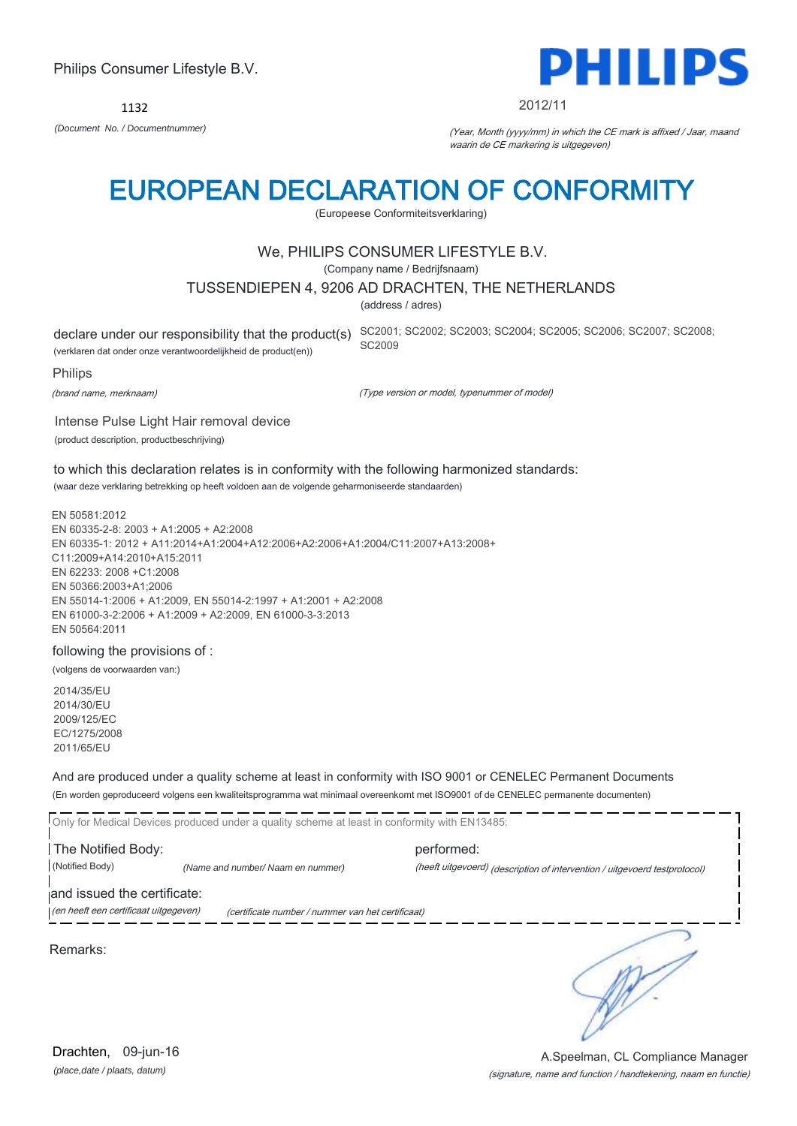1132

Philips Consumer Lifestyle B.V.



#### 2012/11

*(Document No. / Documentnummer)* (Year, Month (yyyy/mm) in which the CE mark is affixed / Jaar, maand waarin de CE markering is uitgegeven)

### EUROPEAN DECLARATION OF CONFORMITY

(Europeese Conformiteitsverklaring)

#### We, PHILIPS CONSUMER LIFESTYLE B.V.

(Company name / Bedrijfsnaam)

#### TUSSENDIEPEN 4, 9206 AD DRACHTEN, THE NETHERLANDS

(address / adres)

(verklaren dat onder onze verantwoordelijkheid de product(en))

declare under our responsibility that the product(s) SC2001; SC2002; SC2003; SC2004; SC2005; SC2006; SC2007; SC2008; SC2009

Philips

(brand name, merknaam)

(Type version or model, typenummer of model)

Intense Pulse Light Hair removal device (product description, productbeschrijving)

to which this declaration relates is in conformity with the following harmonized standards: (waar deze verklaring betrekking op heeft voldoen aan de volgende geharmoniseerde standaarden)

EN 50581:2012 EN 60335-2-8: 2003 + A1:2005 + A2:2008 EN 60335-1: 2012 + A11:2014+A1:2004+A12:2006+A2:2006+A1:2004/C11:2007+A13:2008+ C11:2009+A14:2010+A15:2011 EN 62233: 2008 +C1:2008 EN 50366:2003+A1;2006 EN 55014-1:2006 + A1:2009, EN 55014-2:1997 + A1:2001 + A2:2008 EN 61000-3-2:2006 + A1:2009 + A2:2009, EN 61000-3-3:2013 EN 50564:2011

#### following the provisions of :

(volgens de voorwaarden van:)

2014/35/EU 2014/30/EU 2009/125/EC EC/1275/2008 2011/65/EU

And are produced under a quality scheme at least in conformity with ISO 9001 or CENELEC Permanent Documents (En worden geproduceerd volgens een kwaliteitsprogramma wat minimaal overeenkomt met ISO9001 of de CENELEC permanente documenten)

Only for Medical Devices produced under a quality scheme at least in conformity with EN13485: **The Notified Body: performed:** performed: (Notified Body) *(Name and number/ Naam en nummer)* (heeft uitgevoerd) (description of intervention / uitgevoerd testprotocol) and issued the certificate: (en heeft een certificaat uitgegeven) (certificate number / nummer van het certificaat)

Remarks:

╮

*(place,date / plaats, datum)* Drachten, 09-jun-16

#### (signature, name and function / handtekening, naam en functie) A.Speelman, CL Compliance Manager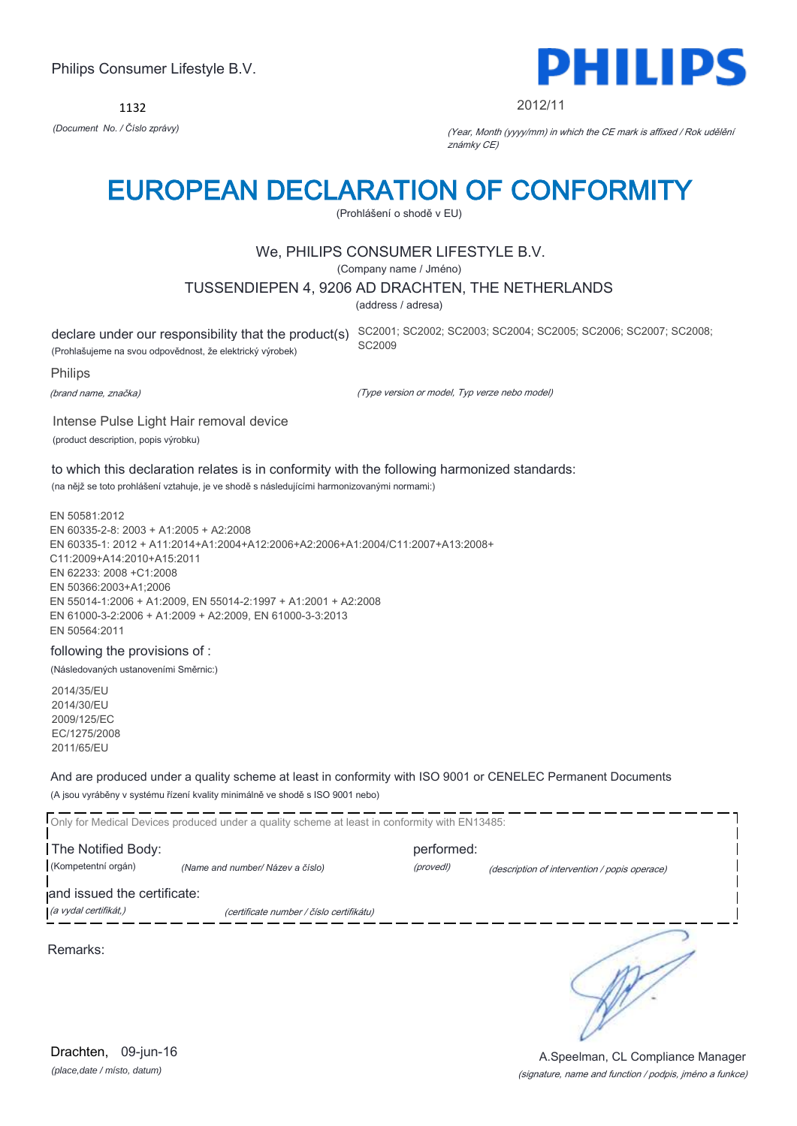1132



#### 2012/11

*(Document No. / Číslo zprávy)* (Year, Month (yyyy/mm) in which the CE mark is affixed / Rok udělění známky CE)

### EUROPEAN DECLARATION OF CONFORMITY

(Prohlášení o shodě v EU)

#### We, PHILIPS CONSUMER LIFESTYLE B.V.

(Company name / Jméno)

#### TUSSENDIEPEN 4, 9206 AD DRACHTEN, THE NETHERLANDS

(address / adresa)

(Prohlašujeme na svou odpovědnost, že elektrický výrobek)

declare under our responsibility that the product(s) SC2001; SC2002; SC2003; SC2004; SC2005; SC2006; SC2007; SC2008; SC2009

Philips

(brand name, značka)

(Type version or model, Typ verze nebo model)

Intense Pulse Light Hair removal device (product description, popis výrobku)

to which this declaration relates is in conformity with the following harmonized standards: (na nějž se toto prohlášení vztahuje, je ve shodě s následujícími harmonizovanými normami:)

EN 50581:2012 EN 60335-2-8: 2003 + A1:2005 + A2:2008 EN 60335-1: 2012 + A11:2014+A1:2004+A12:2006+A2:2006+A1:2004/C11:2007+A13:2008+ C11:2009+A14:2010+A15:2011 EN 62233: 2008 +C1:2008 EN 50366:2003+A1;2006 EN 55014-1:2006 + A1:2009, EN 55014-2:1997 + A1:2001 + A2:2008 EN 61000-3-2:2006 + A1:2009 + A2:2009, EN 61000-3-3:2013 EN 50564:2011

#### following the provisions of :

(Následovaných ustanoveními Směrnic:)

2014/35/EU 2014/30/EU 2009/125/EC EC/1275/2008 2011/65/EU

And are produced under a quality scheme at least in conformity with ISO 9001 or CENELEC Permanent Documents (A jsou vyráběny v systému řízení kvality minimálně ve shodě s ISO 9001 nebo)

Only for Medical Devices produced under a quality scheme at least in conformity with EN13485: **The Notified Body: performed:** performed: (Kompetentní orgán) *(Name and number/ Název a číslo)* (provedl) (description of intervention / popis operace) and issued the certificate: (a vydal certifikát,) (certificate number / číslo certifikátu) ₹

Remarks:

*(place,date / místo, datum)* Drachten, 09-jun-16

(signature, name and function / podpis, jméno a funkce) A.Speelman, CL Compliance Manager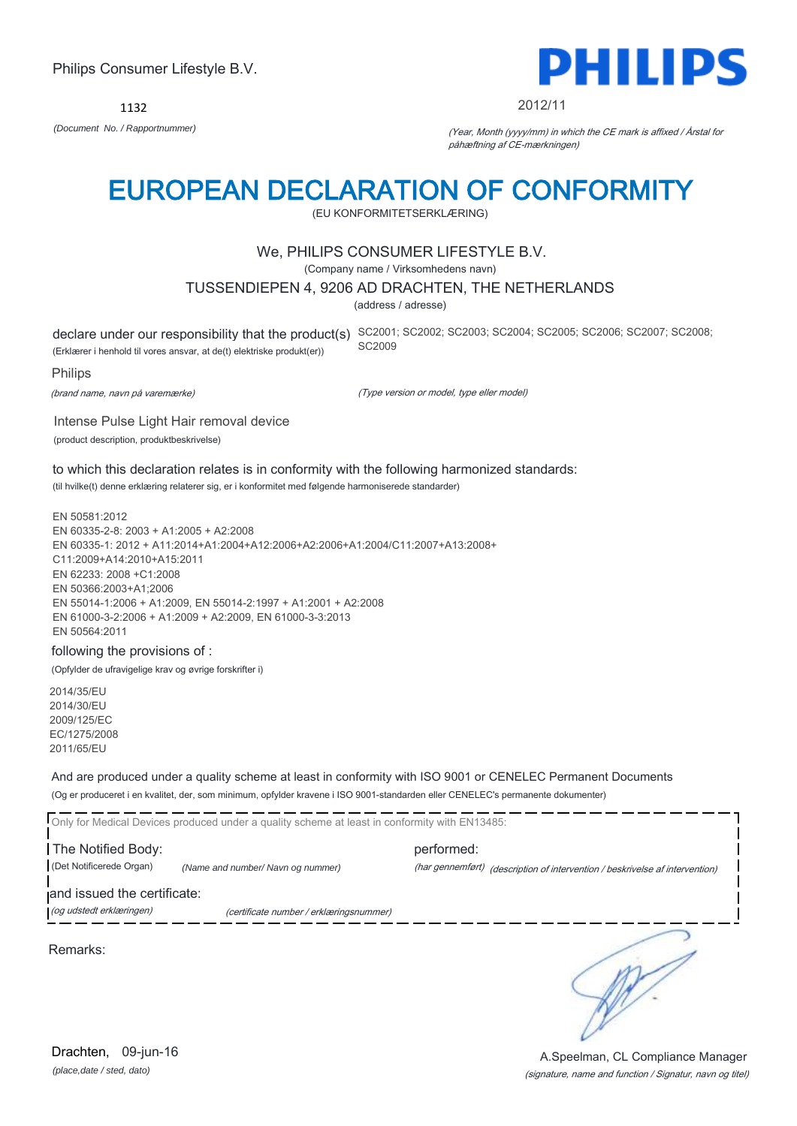Remarks:

*(place,date / sted, dato)* Drachten, 09-jun-16

### Philips Consumer Lifestyle B.V.

1132 *(Document No. / Rapportnummer)* (Year, Month (yyyy/mm) in which the CE mark is affixed / Årstal for

### EUROPEAN DECLARATION OF CONFORMITY

(EU KONFORMITETSERKLÆRING)

#### We, PHILIPS CONSUMER LIFESTYLE B.V.

(Company name / Virksomhedens navn)

#### TUSSENDIEPEN 4, 9206 AD DRACHTEN, THE NETHERLANDS

(address / adresse)

(Erklærer i henhold til vores ansvar, at de(t) elektriske produkt(er))

Intense Pulse Light Hair removal device

declare under our responsibility that the product(s) SC2001; SC2002; SC2003; SC2004; SC2005; SC2006; SC2007; SC2008; SC2009

påhæftning af CE-mærkningen)

Philips

(brand name, navn på varemærke)

(Type version or model, type eller model)

(product description, produktbeskrivelse) to which this declaration relates is in conformity with the following harmonized standards:

(til hvilke(t) denne erklæring relaterer sig, er i konformitet med følgende harmoniserede standarder)

EN 50581:2012 EN 60335-2-8: 2003 + A1:2005 + A2:2008 EN 60335-1: 2012 + A11:2014+A1:2004+A12:2006+A2:2006+A1:2004/C11:2007+A13:2008+ C11:2009+A14:2010+A15:2011 EN 62233: 2008 +C1:2008 EN 50366:2003+A1;2006 EN 55014-1:2006 + A1:2009, EN 55014-2:1997 + A1:2001 + A2:2008 EN 61000-3-2:2006 + A1:2009 + A2:2009, EN 61000-3-3:2013 EN 50564:2011

#### following the provisions of :

(Opfylder de ufravigelige krav og øvrige forskrifter i)

2014/35/EU 2014/30/EU 2009/125/EC EC/1275/2008 2011/65/EU

And are produced under a quality scheme at least in conformity with ISO 9001 or CENELEC Permanent Documents (Og er produceret i en kvalitet, der, som minimum, opfylder kravene i ISO 9001-standarden eller CENELEC's permanente dokumenter)

Only for Medical Devices produced under a quality scheme at least in conformity with EN13485: **The Notified Body: performed:** performed: (Det Notificerede Organ) *(Name and number/ Navn og nummer)* (har gennemført) (description of intervention / beskrivelse af intervention)

and issued the certificate:

(og udstedt erklæringen) (certificate number / erklæringsnummer)

(signature, name and function / Signatur, navn og titel) A.Speelman, CL Compliance Manager

DHIII 2012/11

∍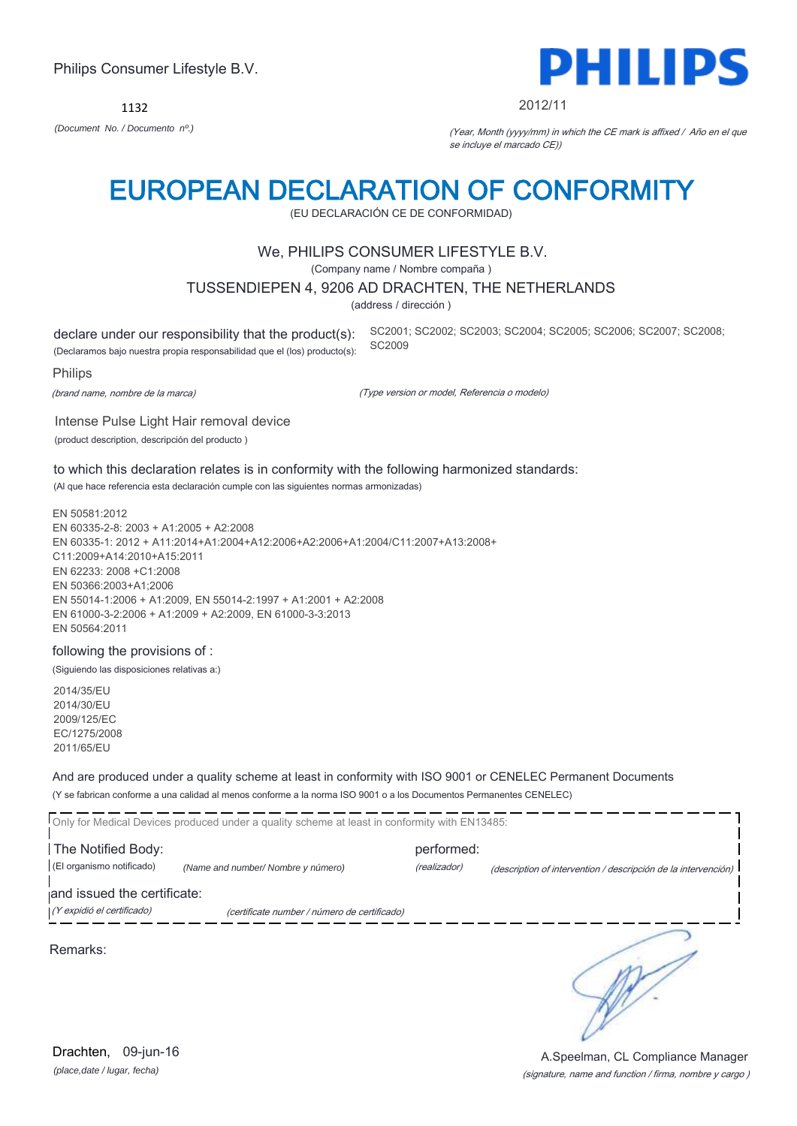1132 *(Document No. / Documento nº.)* (Year, Month (yyyy/mm) in which the CE mark is affixed / Año en el que

### EUROPEAN DECLARATION OF CONFORMITY

(EU DECLARACIÓN CE DE CONFORMIDAD)

#### We, PHILIPS CONSUMER LIFESTYLE B.V.

(Company name / Nombre compaña )

#### TUSSENDIEPEN 4, 9206 AD DRACHTEN, THE NETHERLANDS

(address / dirección )

declare under our responsibility that the product(s): (Declaramos bajo nuestra propia responsabilidad que el (los) producto(s): SC2001; SC2002; SC2003; SC2004; SC2005; SC2006; SC2007; SC2008; SC2009

Intense Pulse Light Hair removal device

#### Philips

(brand name, nombre de la marca)

(Type version or model, Referencia o modelo)

(product description, descripción del producto )

to which this declaration relates is in conformity with the following harmonized standards: (Al que hace referencia esta declaración cumple con las siguientes normas armonizadas)

EN 50581:2012 EN 60335-2-8: 2003 + A1:2005 + A2:2008 EN 60335-1: 2012 + A11:2014+A1:2004+A12:2006+A2:2006+A1:2004/C11:2007+A13:2008+ C11:2009+A14:2010+A15:2011 EN 62233: 2008 +C1:2008 EN 50366:2003+A1;2006 EN 55014-1:2006 + A1:2009, EN 55014-2:1997 + A1:2001 + A2:2008 EN 61000-3-2:2006 + A1:2009 + A2:2009, EN 61000-3-3:2013 EN 50564:2011

#### following the provisions of :

(Siguiendo las disposiciones relativas a:)

2014/35/EU 2014/30/EU 2009/125/EC EC/1275/2008 2011/65/EU

And are produced under a quality scheme at least in conformity with ISO 9001 or CENELEC Permanent Documents (Y se fabrican conforme a una calidad al menos conforme a la norma ISO 9001 o a los Documentos Permanentes CENELEC)

|                             | Only for Medical Devices produced under a quality scheme at least in conformity with EN13485: |              |                                                                |  |
|-----------------------------|-----------------------------------------------------------------------------------------------|--------------|----------------------------------------------------------------|--|
|                             |                                                                                               |              |                                                                |  |
| The Notified Body:          |                                                                                               | performed:   |                                                                |  |
| (El organismo notificado)   | (Name and number/ Nombre y número)                                                            | (realizador) | (description of intervention / descripción de la intervención) |  |
| and issued the certificate: |                                                                                               |              |                                                                |  |
| (Y expidió el certificado)  | (certificate number / número de certificado)                                                  |              |                                                                |  |
|                             |                                                                                               |              |                                                                |  |

Remarks:

(signature, name and function / firma, nombre y cargo ) A.Speelman, CL Compliance Manager



2012/11

se incluye el marcado CE))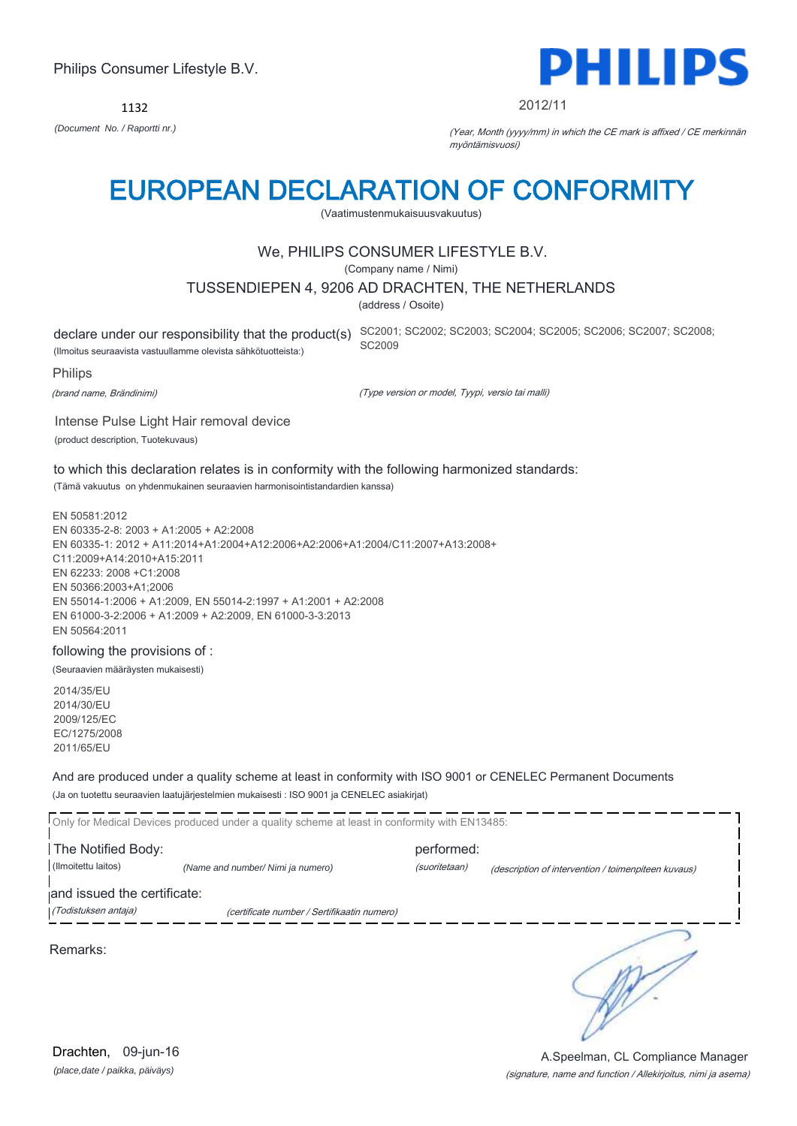1132



#### 2012/11

*(Document No. / Raportti nr.)* (Year, Month (yyyy/mm) in which the CE mark is affixed / CE merkinnän myöntämisvuosi)

### EUROPEAN DECLARATION OF CONFORMITY

(Vaatimustenmukaisuusvakuutus)

#### We, PHILIPS CONSUMER LIFESTYLE B.V.

(Company name / Nimi)

#### TUSSENDIEPEN 4, 9206 AD DRACHTEN, THE NETHERLANDS

(address / Osoite)

(Ilmoitus seuraavista vastuullamme olevista sähkötuotteista:)

declare under our responsibility that the product(s) SC2001; SC2002; SC2003; SC2004; SC2005; SC2006; SC2007; SC2008; SC2009

Philips

(brand name, Brändinimi)

(Type version or model, Tyypi, versio tai malli)

Intense Pulse Light Hair removal device (product description, Tuotekuvaus)

to which this declaration relates is in conformity with the following harmonized standards:

(Tämä vakuutus on yhdenmukainen seuraavien harmonisointistandardien kanssa)

EN 50581:2012 EN 60335-2-8: 2003 + A1:2005 + A2:2008 EN 60335-1: 2012 + A11:2014+A1:2004+A12:2006+A2:2006+A1:2004/C11:2007+A13:2008+ C11:2009+A14:2010+A15:2011 EN 62233: 2008 +C1:2008 EN 50366:2003+A1;2006 EN 55014-1:2006 + A1:2009, EN 55014-2:1997 + A1:2001 + A2:2008 EN 61000-3-2:2006 + A1:2009 + A2:2009, EN 61000-3-3:2013 EN 50564:2011

#### following the provisions of :

(Seuraavien määräysten mukaisesti)

2014/35/EU 2014/30/EU 2009/125/EC EC/1275/2008 2011/65/EU

And are produced under a quality scheme at least in conformity with ISO 9001 or CENELEC Permanent Documents (Ja on tuotettu seuraavien laatujärjestelmien mukaisesti : ISO 9001 ja CENELEC asiakirjat)

|                             | Only for Medical Devices produced under a quality scheme at least in conformity with EN13485: |               |                                                     |  |
|-----------------------------|-----------------------------------------------------------------------------------------------|---------------|-----------------------------------------------------|--|
| The Notified Body:          |                                                                                               | performed:    |                                                     |  |
| (Ilmoitettu laitos)         | (Name and number/ Nimi ja numero)                                                             | (suoritetaan) | (description of intervention / toimenpiteen kuvaus) |  |
| and issued the certificate: |                                                                                               |               |                                                     |  |
| (Todistuksen antaja)        | (certificate number / Sertifikaatin numero)                                                   |               |                                                     |  |
|                             |                                                                                               |               |                                                     |  |
| Remarks:                    |                                                                                               |               |                                                     |  |

(signature, name and function / Allekirjoitus, nimi ja asema) A.Speelman, CL Compliance Manager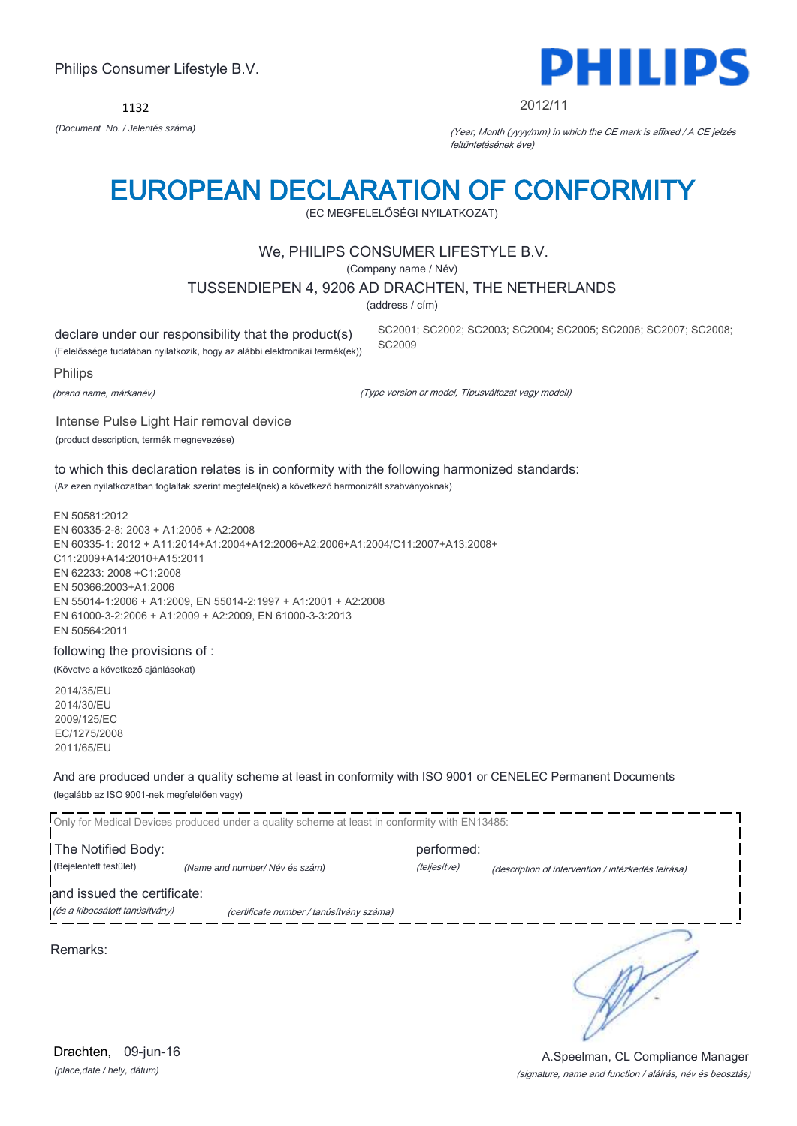*(Document No. / Jelentés száma)* (Year, Month (yyyy/mm) in which the CE mark is affixed / A CE jelzés

1132

Philips Consumer Lifestyle B.V.

### EUROPEAN DECLARATION OF CONFORMITY

(EC MEGFELELŐSÉGI NYILATKOZAT)

#### We, PHILIPS CONSUMER LIFESTYLE B.V.

(Company name / Név)

#### TUSSENDIEPEN 4, 9206 AD DRACHTEN, THE NETHERLANDS

(address / cím)

SC2009

declare under our responsibility that the product(s)

(Felelőssége tudatában nyilatkozik, hogy az alábbi elektronikai termék(ek))

Philips

(brand name, márkanév)

(Type version or model, Típusváltozat vagy modell)

Intense Pulse Light Hair removal device (product description, termék megnevezése)

to which this declaration relates is in conformity with the following harmonized standards: (Az ezen nyilatkozatban foglaltak szerint megfelel(nek) a következő harmonizált szabványoknak)

EN 50581:2012 EN 60335-2-8: 2003 + A1:2005 + A2:2008 EN 60335-1: 2012 + A11:2014+A1:2004+A12:2006+A2:2006+A1:2004/C11:2007+A13:2008+ C11:2009+A14:2010+A15:2011 EN 62233: 2008 +C1:2008 EN 50366:2003+A1;2006 EN 55014-1:2006 + A1:2009, EN 55014-2:1997 + A1:2001 + A2:2008 EN 61000-3-2:2006 + A1:2009 + A2:2009, EN 61000-3-3:2013 EN 50564:2011

following the provisions of :

(Követve a következő ajánlásokat)

2014/35/EU 2014/30/EU 2009/125/EC EC/1275/2008 2011/65/EU

And are produced under a quality scheme at least in conformity with ISO 9001 or CENELEC Permanent Documents (legalább az ISO 9001-nek megfelelően vagy)

|                                | Only for Medical Devices produced under a quality scheme at least in conformity with EN13485: |              |                                                    |  |
|--------------------------------|-----------------------------------------------------------------------------------------------|--------------|----------------------------------------------------|--|
| The Notified Body:             |                                                                                               | performed:   |                                                    |  |
| (Bejelentett testület)         | (Name and number/Név és szám)                                                                 | (teljesítve) | (description of intervention / intézkedés leírása) |  |
| and issued the certificate:    |                                                                                               |              |                                                    |  |
| (és a kibocsátott tanúsítvány) | (certificate number / tanúsítvány száma)                                                      |              |                                                    |  |
|                                |                                                                                               |              |                                                    |  |

Remarks:

Drachten, 09-jun-16

## PHILIPS

#### 2012/11

SC2001; SC2002; SC2003; SC2004; SC2005; SC2006; SC2007; SC2008;

feltüntetésének éve)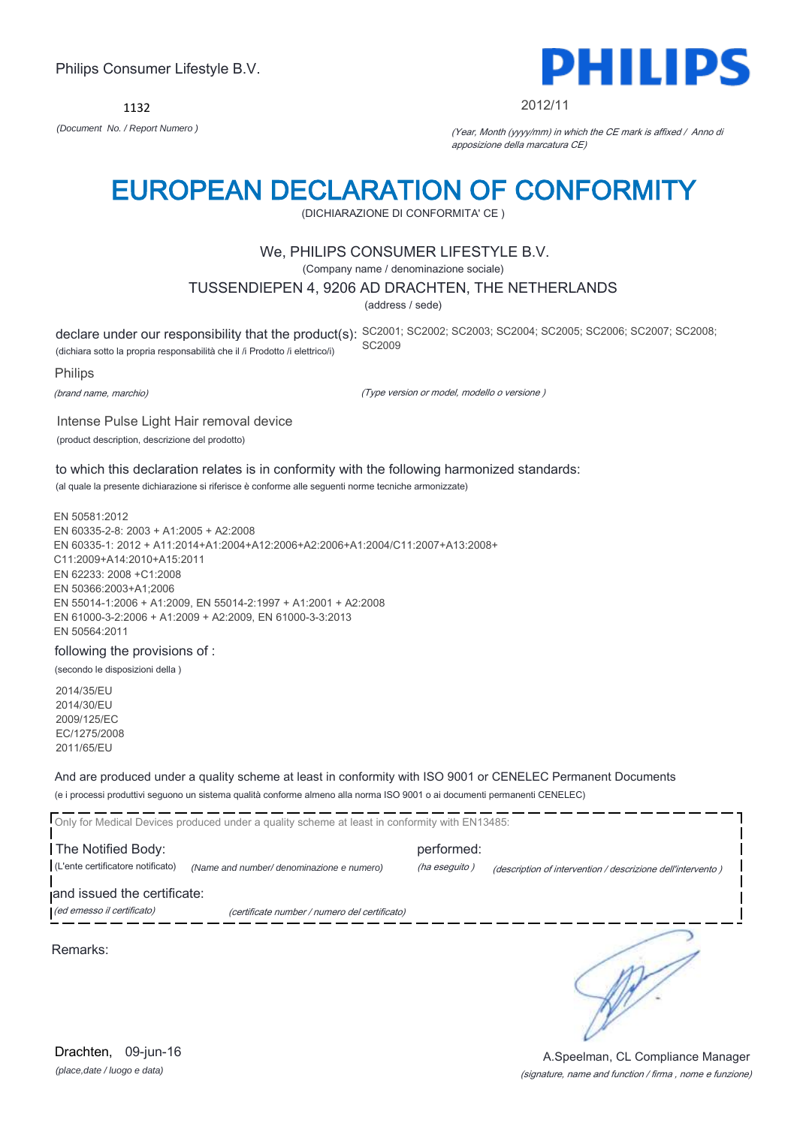1132



#### 2012/11

*(Document No. / Report Numero )* (Year, Month (yyyy/mm) in which the CE mark is affixed / Anno di apposizione della marcatura CE)

### EUROPEAN DECLARATION OF CONFORMITY

(DICHIARAZIONE DI CONFORMITA' CE )

#### We, PHILIPS CONSUMER LIFESTYLE B.V.

(Company name / denominazione sociale)

#### TUSSENDIEPEN 4, 9206 AD DRACHTEN, THE NETHERLANDS

(address / sede)

declare under our responsibility that the product(s): SC2001; SC2002; SC2003; SC2004; SC2005; SC2007; SC2008; SC2008; (dichiara sotto la propria responsabilità che il /i Prodotto /i elettrico/i) SC2009

Philips

(brand name, marchio)

(Type version or model, modello o versione )

Intense Pulse Light Hair removal device (product description, descrizione del prodotto)

to which this declaration relates is in conformity with the following harmonized standards: (al quale la presente dichiarazione si riferisce è conforme alle seguenti norme tecniche armonizzate)

EN 50581:2012 EN 60335-2-8: 2003 + A1:2005 + A2:2008 EN 60335-1: 2012 + A11:2014+A1:2004+A12:2006+A2:2006+A1:2004/C11:2007+A13:2008+ C11:2009+A14:2010+A15:2011 EN 62233: 2008 +C1:2008 EN 50366:2003+A1;2006 EN 55014-1:2006 + A1:2009, EN 55014-2:1997 + A1:2001 + A2:2008 EN 61000-3-2:2006 + A1:2009 + A2:2009, EN 61000-3-3:2013 EN 50564:2011

#### following the provisions of :

(secondo le disposizioni della )

2014/35/EU 2014/30/EU 2009/125/EC EC/1275/2008 2011/65/EU

And are produced under a quality scheme at least in conformity with ISO 9001 or CENELEC Permanent Documents (e i processi produttivi seguono un sistema qualità conforme almeno alla norma ISO 9001 o ai documenti permanenti CENELEC)

|                                                           | Only for Medical Devices produced under a quality scheme at least in conformity with EN13485: |                             |                                                             |
|-----------------------------------------------------------|-----------------------------------------------------------------------------------------------|-----------------------------|-------------------------------------------------------------|
| The Notified Body:<br>(L'ente certificatore notificato)   | (Name and number/ denominazione e numero)                                                     | performed:<br>(ha eseguito) | (description of intervention / descrizione dell'intervento) |
| and issued the certificate:<br>(ed emesso il certificato) | (certificate number / numero del certificato)                                                 |                             |                                                             |
| Remarks:                                                  |                                                                                               |                             |                                                             |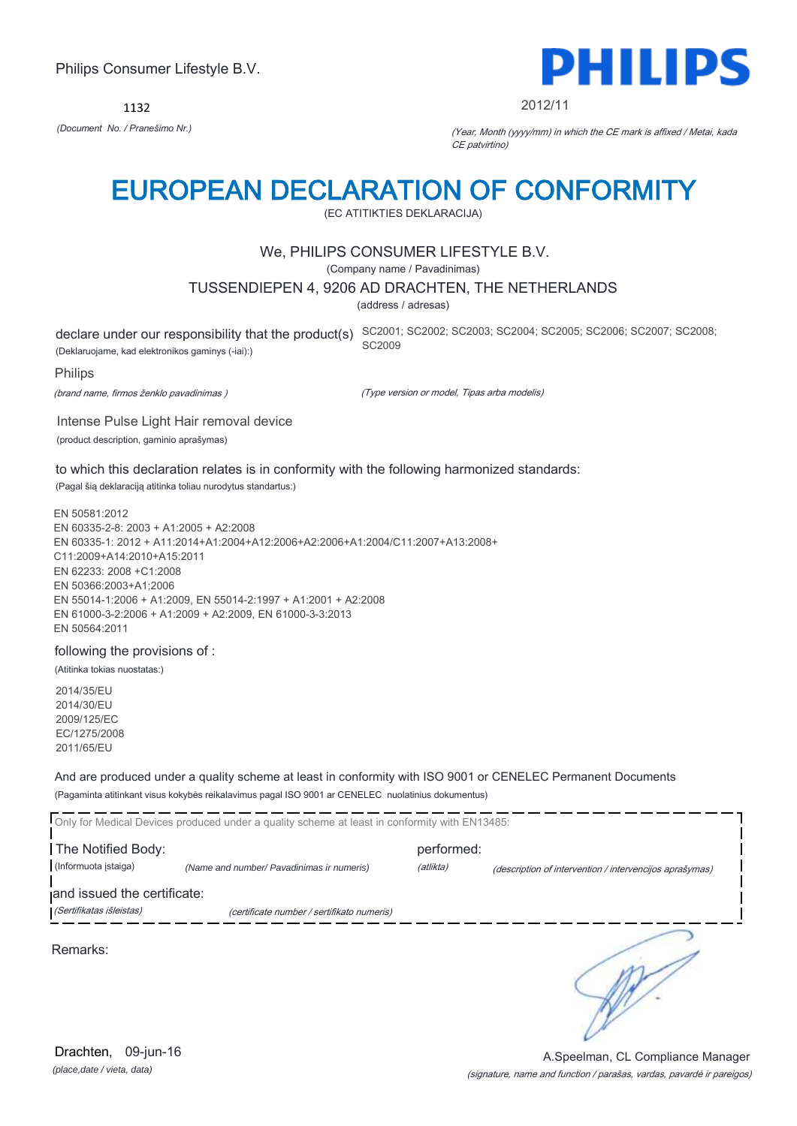1132



#### 2012/11

*(Document No. / Pranešimo Nr.)* (Year, Month (yyyy/mm) in which the CE mark is affixed / Metai, kada CE patvirtino)

### EUROPEAN DECLARATION OF CONFORMITY

(EC ATITIKTIES DEKLARACIJA)

#### We, PHILIPS CONSUMER LIFESTYLE B.V.

(Company name / Pavadinimas)

#### TUSSENDIEPEN 4, 9206 AD DRACHTEN, THE NETHERLANDS

(address / adresas)

(Deklaruojame, kad elektronikos gaminys (-iai):)

declare under our responsibility that the product(s) SC2001; SC2002; SC2003; SC2004; SC2005; SC2006; SC2007; SC2008; SC2009

Philips

(brand name, firmos ženklo pavadinimas )

(Type version or model, Tipas arba modelis)

Intense Pulse Light Hair removal device (product description, gaminio aprašymas)

to which this declaration relates is in conformity with the following harmonized standards:

(Pagal šią deklaraciją atitinka toliau nurodytus standartus:)

EN 50581:2012 EN 60335-2-8: 2003 + A1:2005 + A2:2008 EN 60335-1: 2012 + A11:2014+A1:2004+A12:2006+A2:2006+A1:2004/C11:2007+A13:2008+ C11:2009+A14:2010+A15:2011 EN 62233: 2008 +C1:2008 EN 50366:2003+A1;2006 EN 55014-1:2006 + A1:2009, EN 55014-2:1997 + A1:2001 + A2:2008 EN 61000-3-2:2006 + A1:2009 + A2:2009, EN 61000-3-3:2013 EN 50564:2011

#### following the provisions of :

(Atitinka tokias nuostatas:)

2014/35/EU 2014/30/EU 2009/125/EC EC/1275/2008 2011/65/EU

And are produced under a quality scheme at least in conformity with ISO 9001 or CENELEC Permanent Documents (Pagaminta atitinkant visus kokybės reikalavimus pagal ISO 9001 ar CENELEC nuolatinius dokumentus)

|                                                         | Only for Medical Devices produced under a quality scheme at least in conformity with EN13485: |                         |                                                         |
|---------------------------------------------------------|-----------------------------------------------------------------------------------------------|-------------------------|---------------------------------------------------------|
| The Notified Body:<br>(Informuota istaiga)              | (Name and number/ Pavadinimas ir numeris)                                                     | performed:<br>(atlikta) | (description of intervention / intervencijos aprašymas) |
| and issued the certificate:<br>(Sertifikatas išleistas) | (certificate number / sertifikato numeris)                                                    |                         |                                                         |
| Remarks:                                                |                                                                                               |                         |                                                         |

(signature, name and function / parašas, vardas, pavardė ir pareigos) A.Speelman, CL Compliance Manager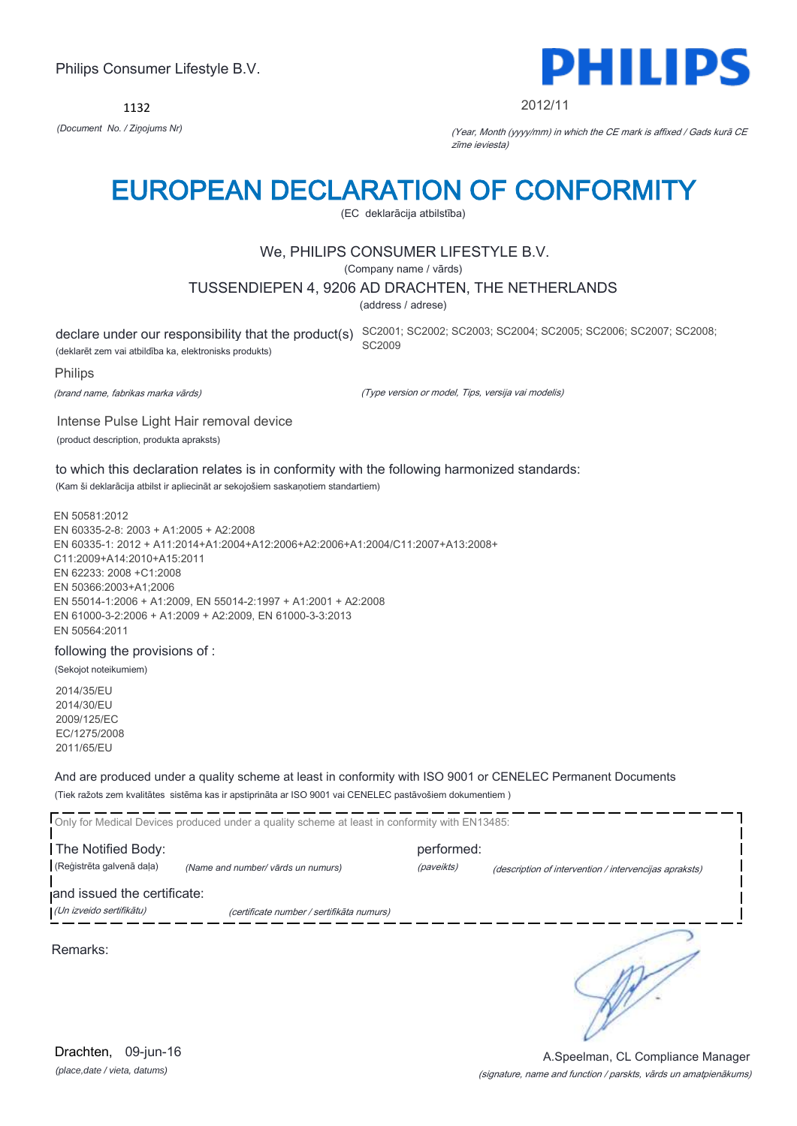1132



#### 2012/11

*(Document No. / Ziņojums Nr)* (Year, Month (yyyy/mm) in which the CE mark is affixed / Gads kurā CE zīme ieviesta)

### EUROPEAN DECLARATION OF CONFORMITY

(EC deklarācija atbilstība)

#### We, PHILIPS CONSUMER LIFESTYLE B.V.

(Company name / vārds)

#### TUSSENDIEPEN 4, 9206 AD DRACHTEN, THE NETHERLANDS

(address / adrese)

(deklarēt zem vai atbildība ka, elektronisks produkts)

declare under our responsibility that the product(s) SC2001; SC2002; SC2003; SC2004; SC2005; SC2006; SC2007; SC2008; SC2009

Philips

(brand name, fabrikas marka vārds)

(Type version or model, Tips, versija vai modelis)

Intense Pulse Light Hair removal device (product description, produkta apraksts)

to which this declaration relates is in conformity with the following harmonized standards: (Kam ši deklarācija atbilst ir apliecināt ar sekojošiem saskaņotiem standartiem)

EN 50581:2012 EN 60335-2-8: 2003 + A1:2005 + A2:2008 EN 60335-1: 2012 + A11:2014+A1:2004+A12:2006+A2:2006+A1:2004/C11:2007+A13:2008+ C11:2009+A14:2010+A15:2011 EN 62233: 2008 +C1:2008 EN 50366:2003+A1;2006 EN 55014-1:2006 + A1:2009, EN 55014-2:1997 + A1:2001 + A2:2008 EN 61000-3-2:2006 + A1:2009 + A2:2009, EN 61000-3-3:2013 EN 50564:2011

#### following the provisions of :

(Sekojot noteikumiem)

2014/35/EU 2014/30/EU 2009/125/EC EC/1275/2008 2011/65/EU

And are produced under a quality scheme at least in conformity with ISO 9001 or CENELEC Permanent Documents (Tiek ražots zem kvalitātes sistēma kas ir apstiprināta ar ISO 9001 vai CENELEC pastāvošiem dokumentiem )

|                             | Only for Medical Devices produced under a quality scheme at least in conformity with EN13485: |            |                                                        |
|-----------------------------|-----------------------------------------------------------------------------------------------|------------|--------------------------------------------------------|
| The Notified Body:          |                                                                                               | performed: |                                                        |
| (Reģistrēta galvenā daļa)   | (Name and number/ vārds un numurs)                                                            | (paveikts) | (description of intervention / intervencijas apraksts) |
| and issued the certificate: |                                                                                               |            |                                                        |
| (Un izveido sertifikātu)    | (certificate number / sertifikāta numurs)                                                     |            |                                                        |
| Remarks:                    |                                                                                               |            |                                                        |

*(place,date / vieta, datums)* Drachten, 09-jun-16

#### (signature, name and function / parskts, vārds un amatpienākums) A.Speelman, CL Compliance Manager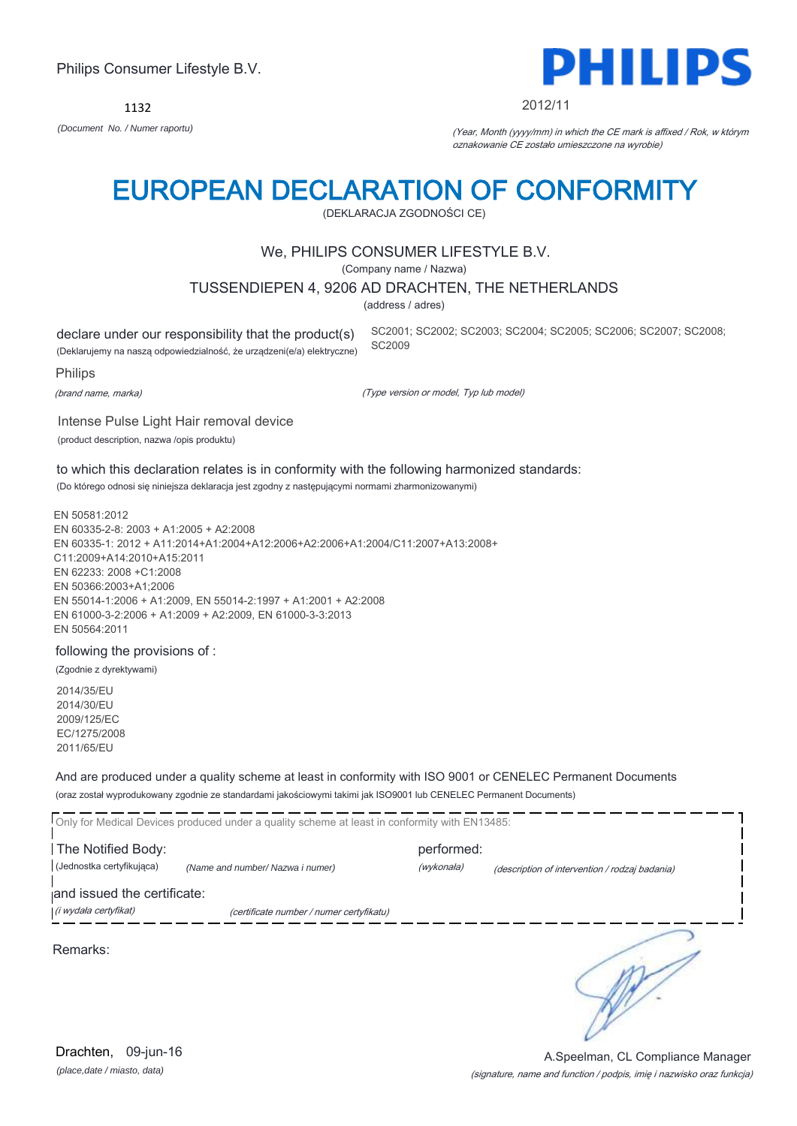*(place,date / miasto, data)* Drachten, 09-jun-16

#### (signature, name and function / podpis, imię i nazwisko oraz funkcja) A.Speelman, CL Compliance Manager

Philips Consumer Lifestyle B.V.

1132

### EUROPEAN DECLARATION OF CONFORMITY

(DEKLARACJA ZGODNOŚCI CE)

#### We, PHILIPS CONSUMER LIFESTYLE B.V.

(Company name / Nazwa)

#### TUSSENDIEPEN 4, 9206 AD DRACHTEN, THE NETHERLANDS

(address / adres)

declare under our responsibility that the product(s) (Deklarujemy na naszą odpowiedzialność, że urządzeni(e/a) elektryczne) SC2001; SC2002; SC2003; SC2004; SC2005; SC2006; SC2007; SC2008; SC2009

Philips

(brand name, marka)

(Type version or model, Typ lub model)

Intense Pulse Light Hair removal device (product description, nazwa /opis produktu)

to which this declaration relates is in conformity with the following harmonized standards:

(Do którego odnosi się niniejsza deklaracja jest zgodny z następującymi normami zharmonizowanymi)

EN 50581:2012 EN 60335-2-8: 2003 + A1:2005 + A2:2008 EN 60335-1: 2012 + A11:2014+A1:2004+A12:2006+A2:2006+A1:2004/C11:2007+A13:2008+ C11:2009+A14:2010+A15:2011 EN 62233: 2008 +C1:2008 EN 50366:2003+A1;2006 EN 55014-1:2006 + A1:2009, EN 55014-2:1997 + A1:2001 + A2:2008 EN 61000-3-2:2006 + A1:2009 + A2:2009, EN 61000-3-3:2013 EN 50564:2011

#### following the provisions of :

(Zgodnie z dyrektywami)

2014/35/EU 2014/30/EU 2009/125/EC EC/1275/2008 2011/65/EU

And are produced under a quality scheme at least in conformity with ISO 9001 or CENELEC Permanent Documents (oraz został wyprodukowany zgodnie ze standardami jakościowymi takimi jak ISO9001 lub CENELEC Permanent Documents)

Only for Medical Devices produced under a quality scheme at least in conformity with EN13485: The Notified Body: example and the Notified Body: (Jednostka certyfikująca) *(Name and number/ Nazwa i numer)* (wykonała) (description of intervention / rodzaj badania) and issued the certificate: (i wydała certyfikat) (certificate number / numer certyfikatu) ₹ Remarks:

*(Document No. / Numer raportu)* (Year, Month (yyyy/mm) in which the CE mark is affixed / Rok, w którym oznakowanie CE zostało umieszczone na wyrobie)

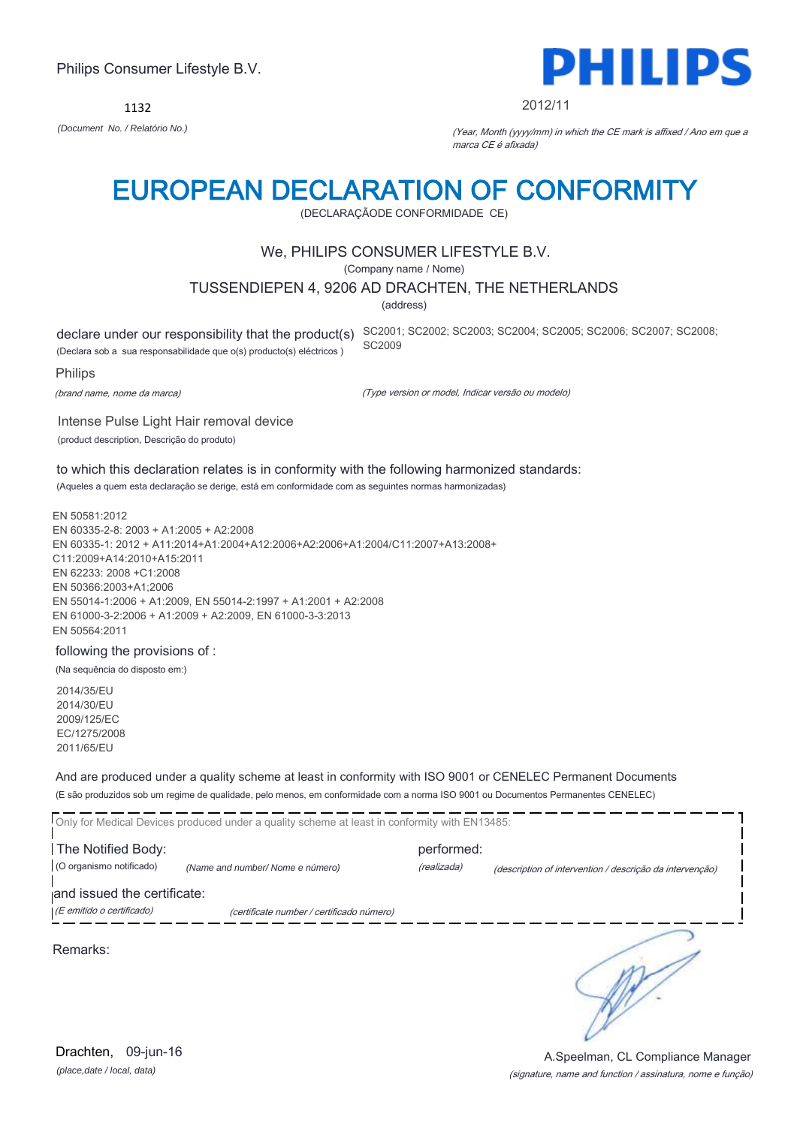*(place,date / local, data)* Drachten, 09-jun-16

#### Philips Consumer Lifestyle B.V.

1132 *(Document No. / Relatório No.)* (Year, Month (yyyy/mm) in which the CE mark is affixed / Ano em que a

### EUROPEAN DECLARATION OF CONFORMITY

(DECLARAÇÃODE CONFORMIDADE CE)

#### We, PHILIPS CONSUMER LIFESTYLE B.V.

(Company name / Nome)

#### TUSSENDIEPEN 4, 9206 AD DRACHTEN, THE NETHERLANDS

(address)

(Declara sob a sua responsabilidade que o(s) producto(s) eléctricos )

Intense Pulse Light Hair removal device

declare under our responsibility that the product(s) SC2001; SC2002; SC2003; SC2004; SC2005; SC2007; SC2008; SC2008; SC2009

Philips

(brand name, nome da marca)

(Type version or model, Indicar versão ou modelo)

(product description, Descrição do produto) to which this declaration relates is in conformity with the following harmonized standards:

(Aqueles a quem esta declaração se derige, está em conformidade com as seguintes normas harmonizadas)

EN 50581:2012 EN 60335-2-8: 2003 + A1:2005 + A2:2008 EN 60335-1: 2012 + A11:2014+A1:2004+A12:2006+A2:2006+A1:2004/C11:2007+A13:2008+ C11:2009+A14:2010+A15:2011 EN 62233: 2008 +C1:2008 EN 50366:2003+A1;2006 EN 55014-1:2006 + A1:2009, EN 55014-2:1997 + A1:2001 + A2:2008 EN 61000-3-2:2006 + A1:2009 + A2:2009, EN 61000-3-3:2013 EN 50564:2011

#### following the provisions of :

(Na sequência do disposto em:)

2014/35/EU 2014/30/EU 2009/125/EC EC/1275/2008 2011/65/EU

Remarks:

And are produced under a quality scheme at least in conformity with ISO 9001 or CENELEC Permanent Documents (E são produzidos sob um regime de qualidade, pelo menos, em conformidade com a norma ISO 9001 ou Documentos Permanentes CENELEC)

|                                                          | Only for Medical Devices produced under a quality scheme at least in conformity with EN13485: |             |                                                          |
|----------------------------------------------------------|-----------------------------------------------------------------------------------------------|-------------|----------------------------------------------------------|
| The Notified Body:                                       |                                                                                               | performed:  |                                                          |
| (O organismo notificado)                                 | (Name and number/Nome e número)                                                               | (realizada) | (description of intervention / descrição da intervenção) |
| and issued the certificate:<br>(E emitido o certificado) | (certificate number / certificado número)                                                     |             |                                                          |
|                                                          |                                                                                               |             |                                                          |

 $\mathbb{R}^2$ 

(signature, name and function / assinatura, nome e função)

A.Speelman, CL Compliance Manager



#### 2012/11

marca CE é afixada)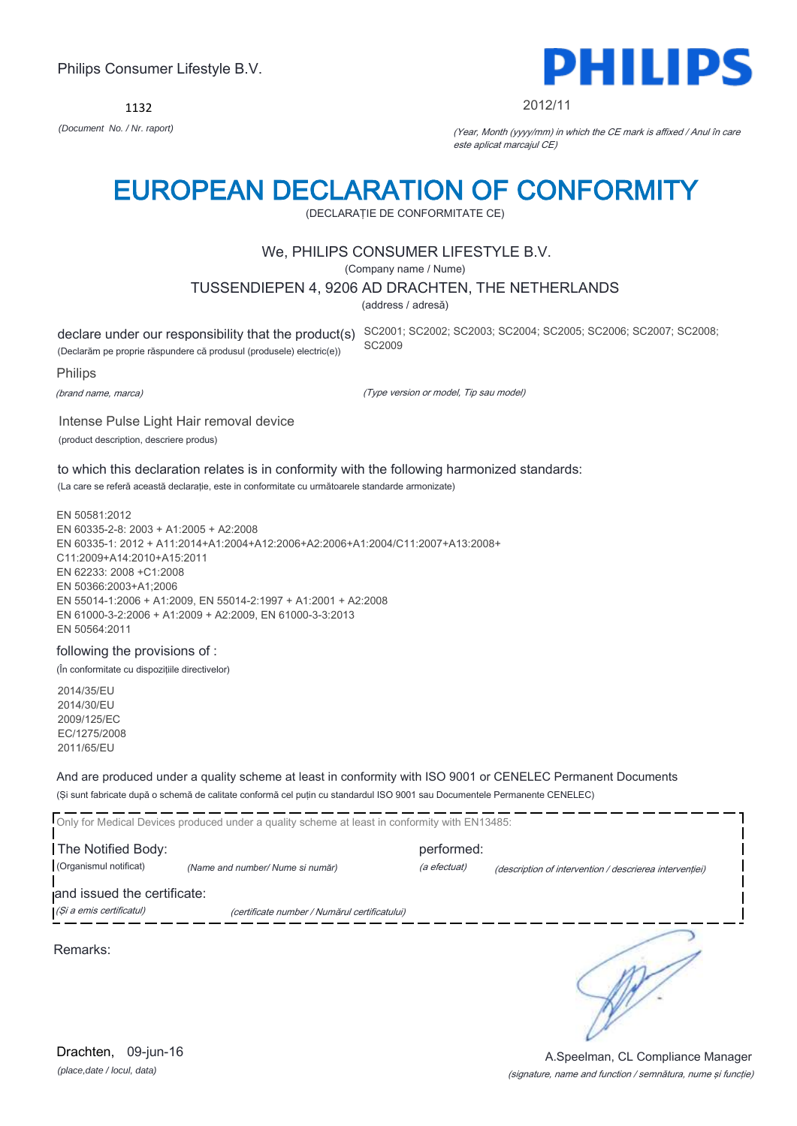1132



#### 2012/11

*(Document No. / Nr. raport)* (Year, Month (yyyy/mm) in which the CE mark is affixed / Anul în care este aplicat marcajul CE)

### EUROPEAN DECLARATION OF CONFORMITY

(DECLARAŢIE DE CONFORMITATE CE)

#### We, PHILIPS CONSUMER LIFESTYLE B.V.

(Company name / Nume)

#### TUSSENDIEPEN 4, 9206 AD DRACHTEN, THE NETHERLANDS

(address / adresă)

(Declarăm pe proprie răspundere că produsul (produsele) electric(e))

declare under our responsibility that the product(s) SC2001; SC2002; SC2003; SC2004; SC2005; SC2006; SC2007; SC2008; SC2009

Philips

(brand name, marca)

(Type version or model, Tip sau model)

Intense Pulse Light Hair removal device (product description, descriere produs)

to which this declaration relates is in conformity with the following harmonized standards: (La care se referă această declaraţie, este in conformitate cu următoarele standarde armonizate)

EN 50581:2012 EN 60335-2-8: 2003 + A1:2005 + A2:2008 EN 60335-1: 2012 + A11:2014+A1:2004+A12:2006+A2:2006+A1:2004/C11:2007+A13:2008+ C11:2009+A14:2010+A15:2011 EN 62233: 2008 +C1:2008 EN 50366:2003+A1;2006 EN 55014-1:2006 + A1:2009, EN 55014-2:1997 + A1:2001 + A2:2008 EN 61000-3-2:2006 + A1:2009 + A2:2009, EN 61000-3-3:2013 EN 50564:2011

#### following the provisions of :

(În conformitate cu dispoziţiile directivelor)

2014/35/EU 2014/30/EU 2009/125/EC EC/1275/2008 2011/65/EU

And are produced under a quality scheme at least in conformity with ISO 9001 or CENELEC Permanent Documents (Şi sunt fabricate după o schemă de calitate conformă cel puţin cu standardul ISO 9001 sau Documentele Permanente CENELEC)

|                                                         | Only for Medical Devices produced under a quality scheme at least in conformity with EN13485: |              |                                                         |
|---------------------------------------------------------|-----------------------------------------------------------------------------------------------|--------------|---------------------------------------------------------|
| The Notified Body:                                      |                                                                                               | performed:   |                                                         |
| (Organismul notificat)                                  | (Name and number/ Nume si număr)                                                              | (a efectuat) | (description of intervention / descrierea interventiei) |
| and issued the certificate:<br>(Și a emis certificatul) | (certificate number / Numărul certificatului)                                                 |              |                                                         |
|                                                         |                                                                                               |              |                                                         |

Remarks:

*(place,date / locul, data)* Drachten, 09-jun-16

#### (signature, name and function / semnătura, nume şi funcţie) A.Speelman, CL Compliance Manager

 $\mathbb{R}^2$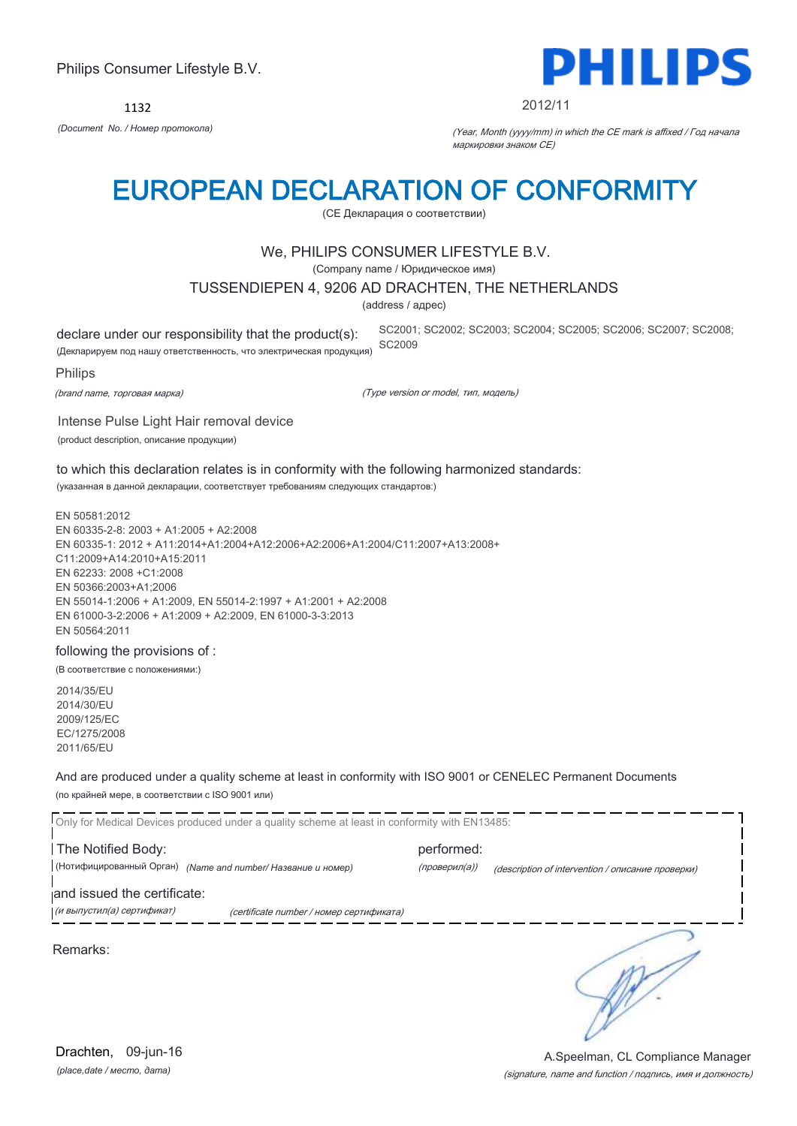1132



#### 2012/11

SC2001; SC2002; SC2003; SC2004; SC2005; SC2006; SC2007; SC2008;

*(Document No. / Номер протокола)* (Year, Month (yyyy/mm) in which the CE mark is affixed / Год начала маркировки знаком CE)

### EUROPEAN DECLARATION OF CONFORMITY

(CE Декларация о соответствии)

#### We, PHILIPS CONSUMER LIFESTYLE B.V.

(Company name / Юридическое имя)

#### TUSSENDIEPEN 4, 9206 AD DRACHTEN, THE NETHERLANDS

(address / адрес)

declare under our responsibility that the product(s):

(Декларируем под нашу ответственность, что электрическая продукция) SC2009

Philips

(brand name, торговая марка)

(Type version or model, тип, модель)

Intense Pulse Light Hair removal device (product description, описание продукции)

to which this declaration relates is in conformity with the following harmonized standards: (указанная в данной декларации, соответствует требованиям следующих стандартов:)

EN 50581:2012 EN 60335-2-8: 2003 + A1:2005 + A2:2008 EN 60335-1: 2012 + A11:2014+A1:2004+A12:2006+A2:2006+A1:2004/C11:2007+A13:2008+ C11:2009+A14:2010+A15:2011 EN 62233: 2008 +C1:2008 EN 50366:2003+A1;2006 EN 55014-1:2006 + A1:2009, EN 55014-2:1997 + A1:2001 + A2:2008 EN 61000-3-2:2006 + A1:2009 + A2:2009, EN 61000-3-3:2013 EN 50564:2011

#### following the provisions of :

(В соответствие с положениями:)

2014/35/EU 2014/30/EU 2009/125/EC EC/1275/2008 2011/65/EU

And are produced under a quality scheme at least in conformity with ISO 9001 or CENELEC Permanent Documents (по крайней мере, в соответствии с ISO 9001 или)

Only for Medical Devices produced under a quality scheme at least in conformity with EN13485: The Notified Body: example and the Notified Body: (Нотифицированный Орган) *(Name and number/ Название и номер)* (проверил(а)) (description of intervention / описание проверки) and issued the certificate: (и выпустил(а) сертификат) (certificate number / номер сертификата) ₹ Remarks: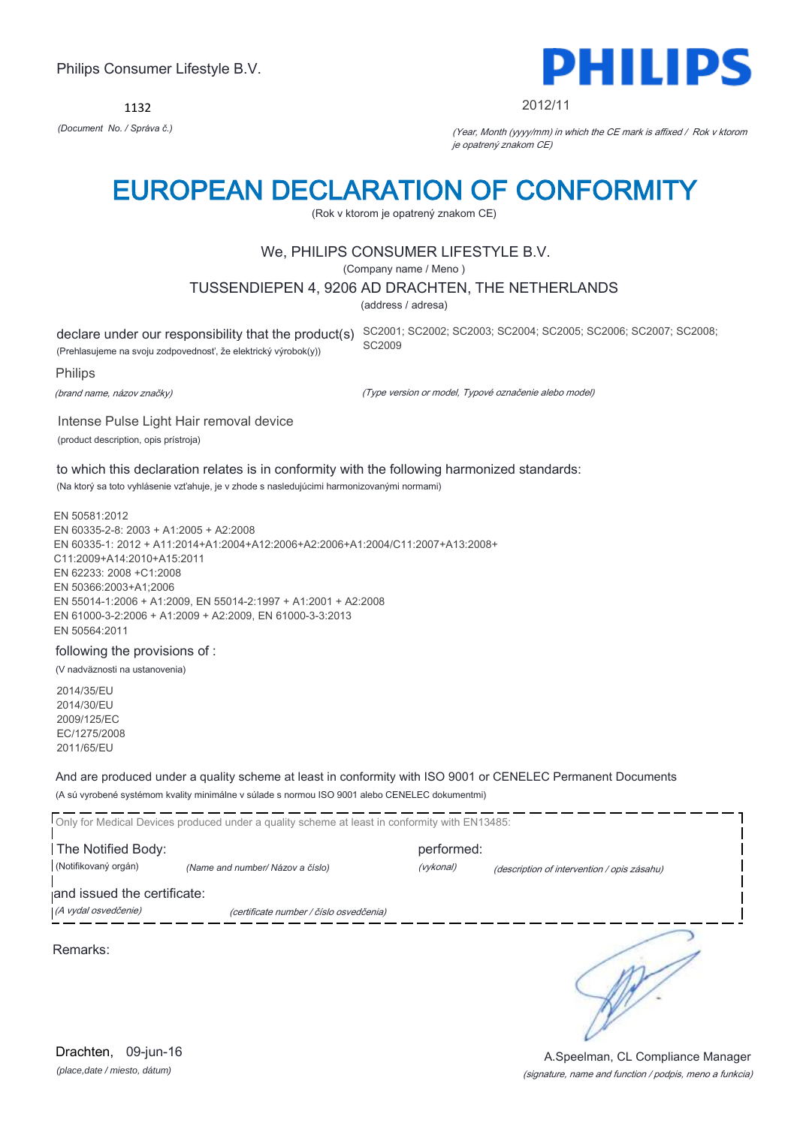1132



#### 2012/11

*(Document No. / Správa č.)* (Year, Month (yyyy/mm) in which the CE mark is affixed / Rok v ktorom je opatrený znakom CE)

### EUROPEAN DECLARATION OF CONFORMITY

(Rok v ktorom je opatrený znakom CE)

#### We, PHILIPS CONSUMER LIFESTYLE B.V.

(Company name / Meno )

#### TUSSENDIEPEN 4, 9206 AD DRACHTEN, THE NETHERLANDS

(address / adresa)

(Prehlasujeme na svoju zodpovednosť, že elektrický výrobok(y))

declare under our responsibility that the product(s) SC2001; SC2002; SC2003; SC2004; SC2005; SC2007; SC2008; SC2008; SC2009

Philips

(brand name, názov značky)

(Type version or model, Typové označenie alebo model)

Intense Pulse Light Hair removal device (product description, opis prístroja)

to which this declaration relates is in conformity with the following harmonized standards: (Na ktorý sa toto vyhlásenie vzťahuje, je v zhode s nasledujúcimi harmonizovanými normami)

EN 50581:2012 EN 60335-2-8: 2003 + A1:2005 + A2:2008 EN 60335-1: 2012 + A11:2014+A1:2004+A12:2006+A2:2006+A1:2004/C11:2007+A13:2008+ C11:2009+A14:2010+A15:2011 EN 62233: 2008 +C1:2008 EN 50366:2003+A1;2006 EN 55014-1:2006 + A1:2009, EN 55014-2:1997 + A1:2001 + A2:2008 EN 61000-3-2:2006 + A1:2009 + A2:2009, EN 61000-3-3:2013 EN 50564:2011

#### following the provisions of :

(V nadväznosti na ustanovenia)

2014/35/EU 2014/30/EU 2009/125/EC EC/1275/2008 2011/65/EU

And are produced under a quality scheme at least in conformity with ISO 9001 or CENELEC Permanent Documents (A sú vyrobené systémom kvality minimálne v súlade s normou ISO 9001 alebo CENELEC dokumentmi)

Only for Medical Devices produced under a quality scheme at least in conformity with EN13485: The Notified Body: example and the Notified Body: (Notifikovaný orgán) *(Name and number/ Názov a číslo)* (vykonal) (description of intervention / opis zásahu) and issued the certificate: (A vydal osvedčenie) (certificate number / číslo osvedčenia) ₹ Remarks:

*(place,date / miesto, dátum)* Drachten, 09-jun-16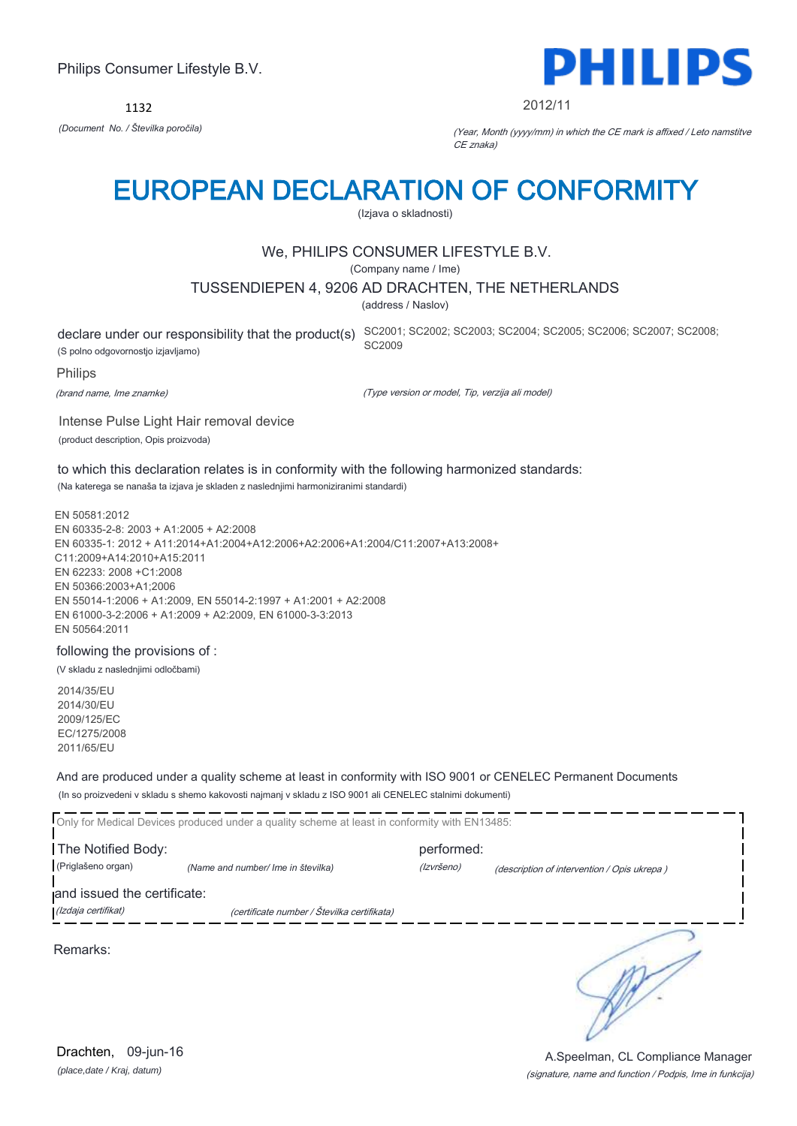1132



#### 2012/11

*(Document No. / Številka poročila)* (Year, Month (yyyy/mm) in which the CE mark is affixed / Leto namstitve CE znaka)

### EUROPEAN DECLARATION OF CONFORMITY

(Izjava o skladnosti)

#### We, PHILIPS CONSUMER LIFESTYLE B.V.

(Company name / Ime)

#### TUSSENDIEPEN 4, 9206 AD DRACHTEN, THE NETHERLANDS

(address / Naslov)

(S polno odgovornostjo izjavljamo)

declare under our responsibility that the product(s) SC2001; SC2002; SC2003; SC2004; SC2005; SC2006; SC2007; SC2008; SC2009

#### Philips

(brand name, Ime znamke)

(Type version or model, Tip, verzija ali model)

Intense Pulse Light Hair removal device (product description, Opis proizvoda)

to which this declaration relates is in conformity with the following harmonized standards: (Na katerega se nanaša ta izjava je skladen z naslednjimi harmoniziranimi standardi)

EN 50581:2012 EN 60335-2-8: 2003 + A1:2005 + A2:2008 EN 60335-1: 2012 + A11:2014+A1:2004+A12:2006+A2:2006+A1:2004/C11:2007+A13:2008+ C11:2009+A14:2010+A15:2011 EN 62233: 2008 +C1:2008 EN 50366:2003+A1;2006 EN 55014-1:2006 + A1:2009, EN 55014-2:1997 + A1:2001 + A2:2008 EN 61000-3-2:2006 + A1:2009 + A2:2009, EN 61000-3-3:2013 EN 50564:2011

#### following the provisions of :

(V skladu z naslednjimi odločbami)

2014/35/EU 2014/30/EU 2009/125/EC EC/1275/2008 2011/65/EU

And are produced under a quality scheme at least in conformity with ISO 9001 or CENELEC Permanent Documents (In so proizvedeni v skladu s shemo kakovosti najmanj v skladu z ISO 9001 ali CENELEC stalnimi dokumenti)

|                             | Only for Medical Devices produced under a quality scheme at least in conformity with EN13485: |            |                                             |  |
|-----------------------------|-----------------------------------------------------------------------------------------------|------------|---------------------------------------------|--|
| The Notified Body:          |                                                                                               | performed: |                                             |  |
| (Priglašeno organ)          | (Name and number/ Ime in številka)                                                            | (Izvršeno) | (description of intervention / Opis ukrepa) |  |
| and issued the certificate: |                                                                                               |            |                                             |  |
| (Izdaja certifikat)         | (certificate number / Številka certifikata)                                                   |            |                                             |  |
| Remarks:                    |                                                                                               |            |                                             |  |

*(place,date / Kraj, datum)* Drachten, 09-jun-16

#### (signature, name and function / Podpis, Ime in funkcija) A.Speelman, CL Compliance Manager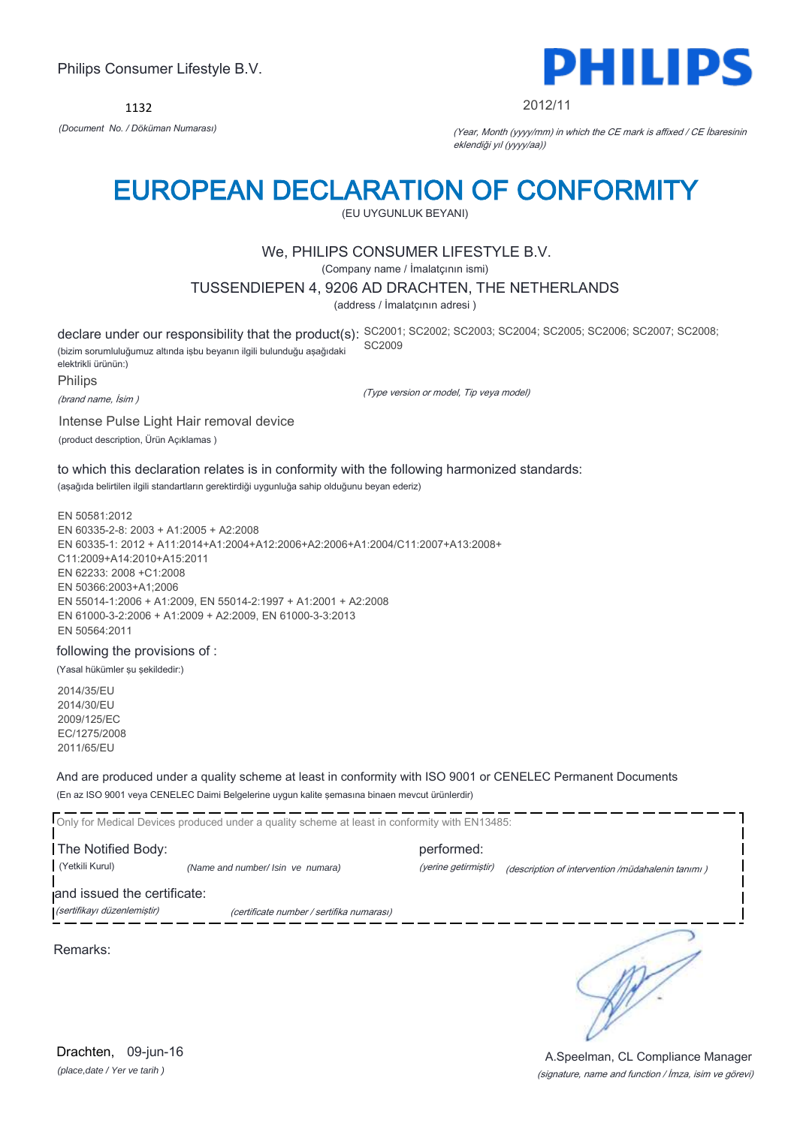1132



#### 2012/11

*(Document No. / Döküman Numarası)* (Year, Month (yyyy/mm) in which the CE mark is affixed / CE İbaresinin eklendiği yıl (yyyy/aa))

### EUROPEAN DECLARATION OF CONFORMITY

(EU UYGUNLUK BEYANI)

#### We, PHILIPS CONSUMER LIFESTYLE B.V.

(Company name / İmalatçının ismi)

#### TUSSENDIEPEN 4, 9206 AD DRACHTEN, THE NETHERLANDS

(address / İmalatçının adresi )

declare under our responsibility that the product(s): SC2001; SC2002; SC2003; SC2004; SC2005; SC2007; SC2008; SC2008; (bizim sorumluluğumuz altında işbu beyanın ilgili bulunduğu aşağıdaki elektrikli ürünün:) SC2009

Philips

(brand name, İsim )

(Type version or model, Tip veya model)

Intense Pulse Light Hair removal device (product description, Ürün Açıklamas )

to which this declaration relates is in conformity with the following harmonized standards: (aşağıda belirtilen ilgili standartların gerektirdiği uygunluğa sahip olduğunu beyan ederiz)

EN 50581:2012 EN 60335-2-8: 2003 + A1:2005 + A2:2008 EN 60335-1: 2012 + A11:2014+A1:2004+A12:2006+A2:2006+A1:2004/C11:2007+A13:2008+ C11:2009+A14:2010+A15:2011 EN 62233: 2008 +C1:2008 EN 50366:2003+A1;2006 EN 55014-1:2006 + A1:2009, EN 55014-2:1997 + A1:2001 + A2:2008 EN 61000-3-2:2006 + A1:2009 + A2:2009, EN 61000-3-3:2013 EN 50564:2011

#### following the provisions of :

(Yasal hükümler şu şekildedir:)

2014/35/EU 2014/30/EU 2009/125/EC EC/1275/2008 2011/65/EU

And are produced under a quality scheme at least in conformity with ISO 9001 or CENELEC Permanent Documents (En az ISO 9001 veya CENELEC Daimi Belgelerine uygun kalite şemasına binaen mevcut ürünlerdir)

Only for Medical Devices produced under a quality scheme at least in conformity with EN13485: **The Notified Body: performed:** performed: (Yetkili Kurul) *(Name and number/ Isin ve numara)* (yerine getirmiştir) (description of intervention /müdahalenin tanımı ) and issued the certificate: (sertifikayı düzenlemiştir) (certificate number / sertifika numarası) ╮

Remarks:

*(place,date / Yer ve tarih )* Drachten, 09-jun-16

# A.Speelman, CL Compliance Manager

(signature, name and function / İmza, isim ve görevi)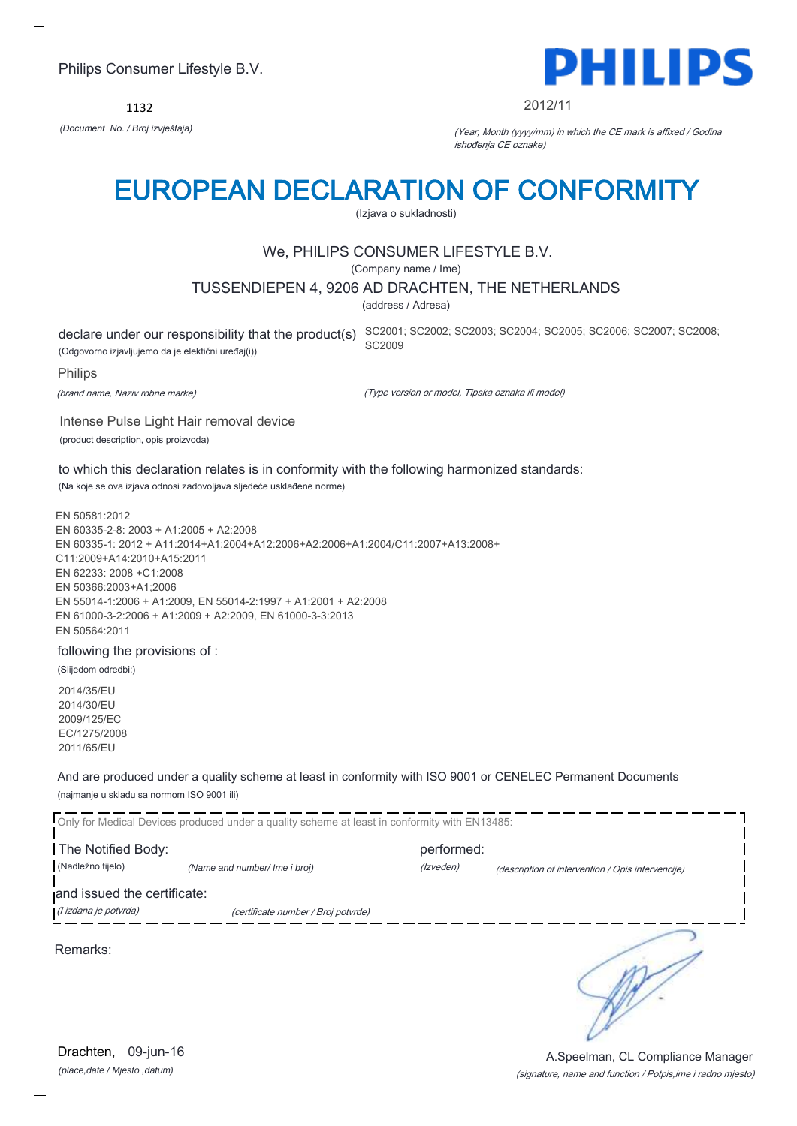1132



#### 2012/11

*(Document No. / Broj izvještaja)* (Year, Month (yyyy/mm) in which the CE mark is affixed / Godina ishođenja CE oznake)

### EUROPEAN DECLARATION OF CONFORMITY

(Izjava o sukladnosti)

#### We, PHILIPS CONSUMER LIFESTYLE B.V.

(Company name / Ime)

#### TUSSENDIEPEN 4, 9206 AD DRACHTEN, THE NETHERLANDS

(address / Adresa)

(Odgovorno izjavljujemo da je elektični uređaj(i))

declare under our responsibility that the product(s) SC2001; SC2002; SC2003; SC2004; SC2005; SC2006; SC2007; SC2008; SC2009

#### Philips

(brand name, Naziv robne marke)

(Type version or model, Tipska oznaka ili model)

Intense Pulse Light Hair removal device (product description, opis proizvoda)

to which this declaration relates is in conformity with the following harmonized standards: (Na koje se ova izjava odnosi zadovoljava sljedeće usklađene norme)

EN 50581:2012 EN 60335-2-8: 2003 + A1:2005 + A2:2008 EN 60335-1: 2012 + A11:2014+A1:2004+A12:2006+A2:2006+A1:2004/C11:2007+A13:2008+ C11:2009+A14:2010+A15:2011 EN 62233: 2008 +C1:2008 EN 50366:2003+A1;2006 EN 55014-1:2006 + A1:2009, EN 55014-2:1997 + A1:2001 + A2:2008 EN 61000-3-2:2006 + A1:2009 + A2:2009, EN 61000-3-3:2013 EN 50564:2011

#### following the provisions of :

(Slijedom odredbi:)

2014/35/EU 2014/30/EU 2009/125/EC EC/1275/2008 2011/65/EU

And are produced under a quality scheme at least in conformity with ISO 9001 or CENELEC Permanent Documents (najmanje u skladu sa normom ISO 9001 ili)

Only for Medical Devices produced under a quality scheme at least in conformity with EN13485: **The Notified Body: performed:** performed: (Nadležno tijelo) *(Name and number/ Ime i broj) (Izveden) (Izveden) (description of intervention / Opis intervencije*) and issued the certificate: (I izdana je potvrda) (certificate number / Broj potvrde) ∍

Remarks:

*(place,date / Mjesto ,datum)* Drachten, 09-jun-16

(signature, name and function / Potpis,ime i radno mjesto) A.Speelman, CL Compliance Manager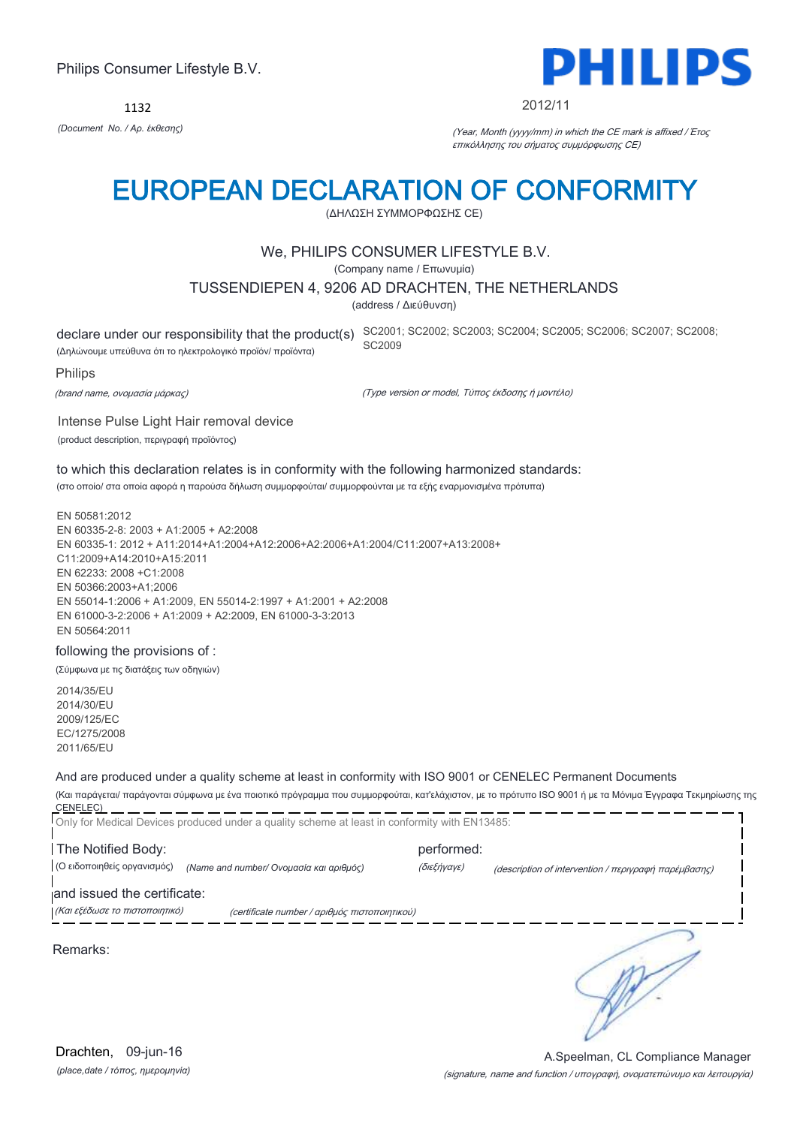1132



#### 2012/11

*(Document No. / Αρ. έκθεσης)* (Year, Month (yyyy/mm) in which the CE mark is affixed / Έτος επικόλλησης του σήματος συμμόρφωσης CE)

### EUROPEAN DECLARATION OF CONFORMITY

(ΔΗΛΩΣΗ ΣΥΜΜΟΡΦΩΣΗΣ CE)

#### We, PHILIPS CONSUMER LIFESTYLE B.V.

(Company name / Επωνυμία)

#### TUSSENDIEPEN 4, 9206 AD DRACHTEN, THE NETHERLANDS

(address / Διεύθυνση)

(Δηλώνουμε υπεύθυνα ότι το ηλεκτρολογικό προϊόν/ προϊόντα)

declare under our responsibility that the product(s) SC2001; SC2002; SC2003; SC2004; SC2005; SC2007; SC2008; SC2008; SC2009

Philips

(brand name, ονομασία μάρκας)

(Type version or model, Τύπος έκδοσης ή μοντέλο)

Intense Pulse Light Hair removal device (product description, περιγραφή προϊόντος)

to which this declaration relates is in conformity with the following harmonized standards: (στο οποίο/ στα οποία αφορά η παρούσα δήλωση συμμορφούται/ συμμορφούνται με τα εξής εναρμονισμένα πρότυπα)

EN 50581:2012 EN 60335-2-8: 2003 + A1:2005 + A2:2008 EN 60335-1: 2012 + A11:2014+A1:2004+A12:2006+A2:2006+A1:2004/C11:2007+A13:2008+ C11:2009+A14:2010+A15:2011 EN 62233: 2008 +C1:2008 EN 50366:2003+A1;2006 EN 55014-1:2006 + A1:2009, EN 55014-2:1997 + A1:2001 + A2:2008 EN 61000-3-2:2006 + A1:2009 + A2:2009, EN 61000-3-3:2013 EN 50564:2011

#### following the provisions of :

(Σύμφωνα με τις διατάξεις των οδηγιών)

2014/35/EU 2014/30/EU 2009/125/EC EC/1275/2008 2011/65/EU

#### And are produced under a quality scheme at least in conformity with ISO 9001 or CENELEC Permanent Documents

(Και παράγεται/ παράγονται σύμφωνα με ένα ποιοτικό πρόγραμμα που συμμορφούται, κατ'ελάχιστον, με το πρότυπο ISO 9001 ή με τα Μόνιμα Έγγραφα Τεκμηρίωσης της CENELEC)

| The Notified Body:                                         | Only for Medical Devices produced under a quality scheme at least in conformity with EN13485: | performed:  |                                                                                                                                                    |
|------------------------------------------------------------|-----------------------------------------------------------------------------------------------|-------------|----------------------------------------------------------------------------------------------------------------------------------------------------|
| (Ο ειδοποιηθείς οργανισμός)<br>and issued the certificate: | (Name and number/ Ονομασία και αριθμός)                                                       | (διεξήγαγε) | (description of intervention / $\pi \epsilon \rho \gamma \rho \alpha \varphi \eta$ $\pi \alpha \rho \epsilon \mu \beta \alpha \sigma \eta \zeta$ ) |
| (Και εξέδωσε το πιστοποιητικό)                             | (certificate number / αριθμός πιστοποιητικού)                                                 |             |                                                                                                                                                    |
| Remarks:                                                   |                                                                                               |             |                                                                                                                                                    |